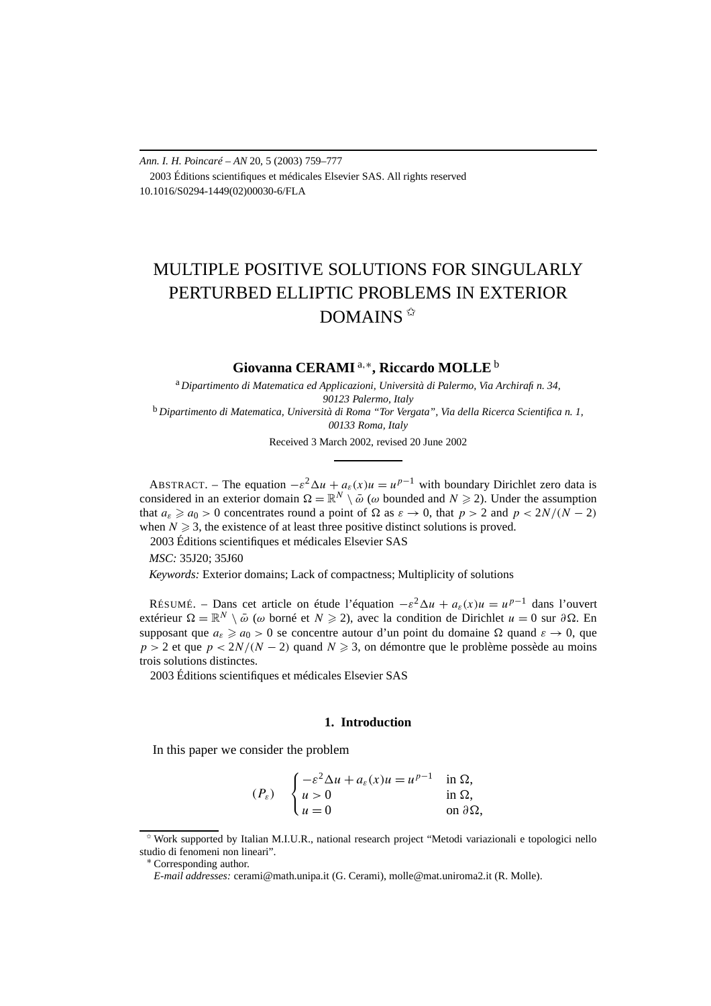*Ann. I. H. Poincaré – AN* 20, 5 (2003) 759–777 2003 Éditions scientifiques et médicales Elsevier SAS. All rights reserved 10.1016/S0294-1449(02)00030-6/FLA

# MULTIPLE POSITIVE SOLUTIONS FOR SINGULARLY PERTURBED ELLIPTIC PROBLEMS IN EXTERIOR  $DOMAINS$  $*$

**Giovanna CERAMI** <sup>a</sup>*,*∗**, Riccardo MOLLE** <sup>b</sup>

<sup>a</sup> *Dipartimento di Matematica ed Applicazioni, Università di Palermo, Via Archirafi n. 34, 90123 Palermo, Italy* <sup>b</sup> *Dipartimento di Matematica, Università di Roma "Tor Vergata", Via della Ricerca Scientifica n. 1,*

*00133 Roma, Italy*

Received 3 March 2002, revised 20 June 2002

ABSTRACT. – The equation  $-\varepsilon^2 \Delta u + a_\varepsilon(x)u = u^{p-1}$  with boundary Dirichlet zero data is considered in an exterior domain  $\Omega = \mathbb{R}^N \setminus \bar{\omega}$  ( $\omega$  bounded and  $N \ge 2$ ). Under the assumption that  $a_{\varepsilon} \ge a_0 > 0$  concentrates round a point of  $\Omega$  as  $\varepsilon \to 0$ , that  $p > 2$  and  $p < 2N/(N - 2)$ when  $N \geq 3$ , the existence of at least three positive distinct solutions is proved.

2003 Éditions scientifiques et médicales Elsevier SAS

*MSC:* 35J20; 35J60

*Keywords:* Exterior domains; Lack of compactness; Multiplicity of solutions

RÉSUMÉ. – Dans cet article on étude l'équation  $-\varepsilon^2 \Delta u + a_\varepsilon(x)u = u^{p-1}$  dans l'ouvert extérieur Ω =  $\mathbb{R}^N \setminus \bar{\omega}$  (*ω* borné et *N* ≥ 2), avec la condition de Dirichlet *u* = 0 sur *∂* Ω. En supposant que  $a_{\varepsilon} \geq a_0 > 0$  se concentre autour d'un point du domaine  $\Omega$  quand  $\varepsilon \to 0$ , que *p* > 2 et que *p* < 2*N*/(*N* − 2) quand *N* ≥ 3, on démontre que le problème possède au moins trois solutions distinctes.

2003 Éditions scientifiques et médicales Elsevier SAS

### **1. Introduction**

In this paper we consider the problem

$$
(P_{\varepsilon}) \quad \begin{cases} -\varepsilon^2 \Delta u + a_{\varepsilon}(x)u = u^{p-1} & \text{in } \Omega, \\ u > 0 & \text{in } \Omega, \\ u = 0 & \text{on } \partial \Omega, \end{cases}
$$

<sup>✩</sup> Work supported by Italian M.I.U.R., national research project "Metodi variazionali e topologici nello studio di fenomeni non lineari".

<sup>∗</sup> Corresponding author.

*E-mail addresses:* cerami@math.unipa.it (G. Cerami), molle@mat.uniroma2.it (R. Molle).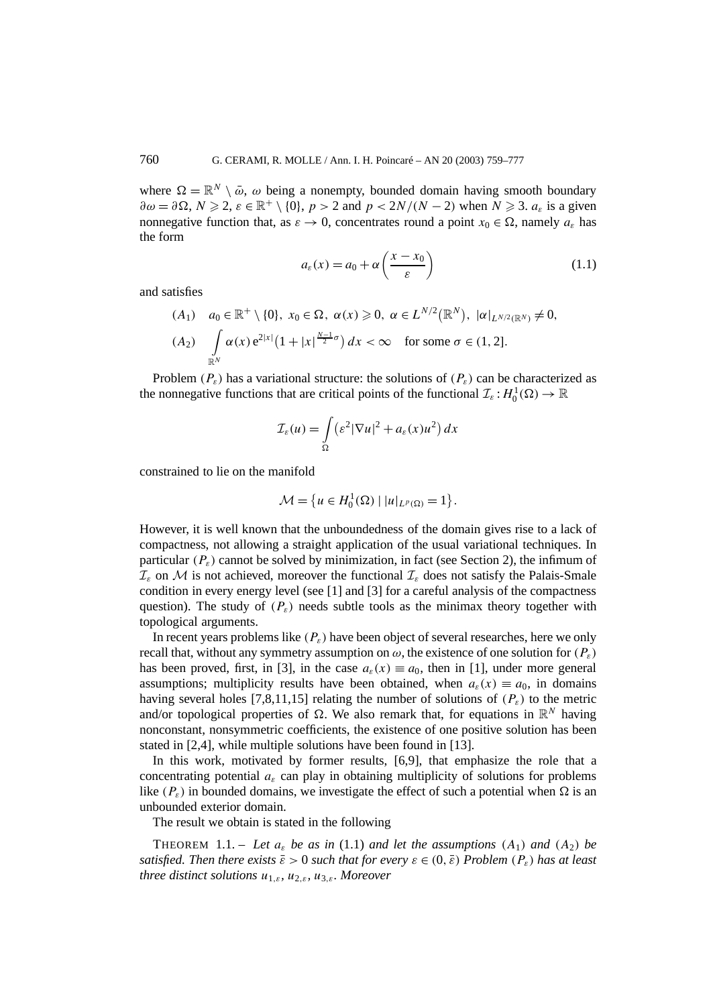where  $\Omega = \mathbb{R}^N \setminus \bar{\omega}$ ,  $\omega$  being a nonempty, bounded domain having smooth boundary  $\partial \omega = \partial \Omega, N \geq 2, \varepsilon \in \mathbb{R}^+ \setminus \{0\}, p > 2$  and  $p < 2N/(N-2)$  when  $N \geq 3$ .  $a_{\varepsilon}$  is a given nonnegative function that, as  $\varepsilon \to 0$ , concentrates round a point  $x_0 \in \Omega$ , namely  $a_{\varepsilon}$  has the form

$$
a_{\varepsilon}(x) = a_0 + \alpha \left(\frac{x - x_0}{\varepsilon}\right) \tag{1.1}
$$

and satisfies

$$
(A_1) \quad a_0 \in \mathbb{R}^+ \setminus \{0\}, \ x_0 \in \Omega, \ \alpha(x) \ge 0, \ \alpha \in L^{N/2}(\mathbb{R}^N), \ |\alpha|_{L^{N/2}(\mathbb{R}^N)} \ne 0, (A_2) \quad \int_{\mathbb{R}^N} \alpha(x) e^{2|x|} (1 + |x|^{\frac{N-1}{2}\sigma}) dx < \infty \quad \text{for some } \sigma \in (1, 2].
$$

Problem  $(P_{\varepsilon})$  has a variational structure: the solutions of  $(P_{\varepsilon})$  can be characterized as the nonnegative functions that are critical points of the functional  $\mathcal{I}_{\varepsilon}: H_0^1(\Omega) \to \mathbb{R}$ 

$$
\mathcal{I}_{\varepsilon}(u) = \int_{\Omega} \left( \varepsilon^2 |\nabla u|^2 + a_{\varepsilon}(x) u^2 \right) dx
$$

constrained to lie on the manifold

$$
\mathcal{M} = \{ u \in H_0^1(\Omega) \mid |u|_{L^p(\Omega)} = 1 \}.
$$

However, it is well known that the unboundedness of the domain gives rise to a lack of compactness, not allowing a straight application of the usual variational techniques. In particular  $(P_{\varepsilon})$  cannot be solved by minimization, in fact (see Section 2), the infimum of  $\mathcal{I}_{\varepsilon}$  on M is not achieved, moreover the functional  $\mathcal{I}_{\varepsilon}$  does not satisfy the Palais-Smale condition in every energy level (see [1] and [3] for a careful analysis of the compactness question). The study of  $(P_{\varepsilon})$  needs subtle tools as the minimax theory together with topological arguments.

In recent years problems like  $(P_{\varepsilon})$  have been object of several researches, here we only recall that, without any symmetry assumption on  $\omega$ , the existence of one solution for  $(P_{\varepsilon})$ has been proved, first, in [3], in the case  $a_{\varepsilon}(x) \equiv a_0$ , then in [1], under more general assumptions; multiplicity results have been obtained, when  $a_{\varepsilon}(x) \equiv a_0$ , in domains having several holes [7,8,11,15] relating the number of solutions of  $(P_{\varepsilon})$  to the metric and/or topological properties of  $\Omega$ . We also remark that, for equations in  $\mathbb{R}^N$  having nonconstant, nonsymmetric coefficients, the existence of one positive solution has been stated in [2,4], while multiple solutions have been found in [13].

In this work, motivated by former results, [6,9], that emphasize the role that a concentrating potential  $a_{\varepsilon}$  can play in obtaining multiplicity of solutions for problems like  $(P_{\varepsilon})$  in bounded domains, we investigate the effect of such a potential when  $\Omega$  is an unbounded exterior domain.

The result we obtain is stated in the following

THEOREM 1.1. – Let  $a_{\varepsilon}$  be as in (1.1) and let the assumptions (A<sub>1</sub>) and (A<sub>2</sub>) be *satisfied. Then there exists*  $\bar{\varepsilon} > 0$  *such that for every*  $\varepsilon \in (0, \bar{\varepsilon})$  *Problem*  $(P_{\varepsilon})$  *has at least three distinct solutions u*<sup>1</sup>*,ε, u*<sup>2</sup>*,ε, u*<sup>3</sup>*,ε. Moreover*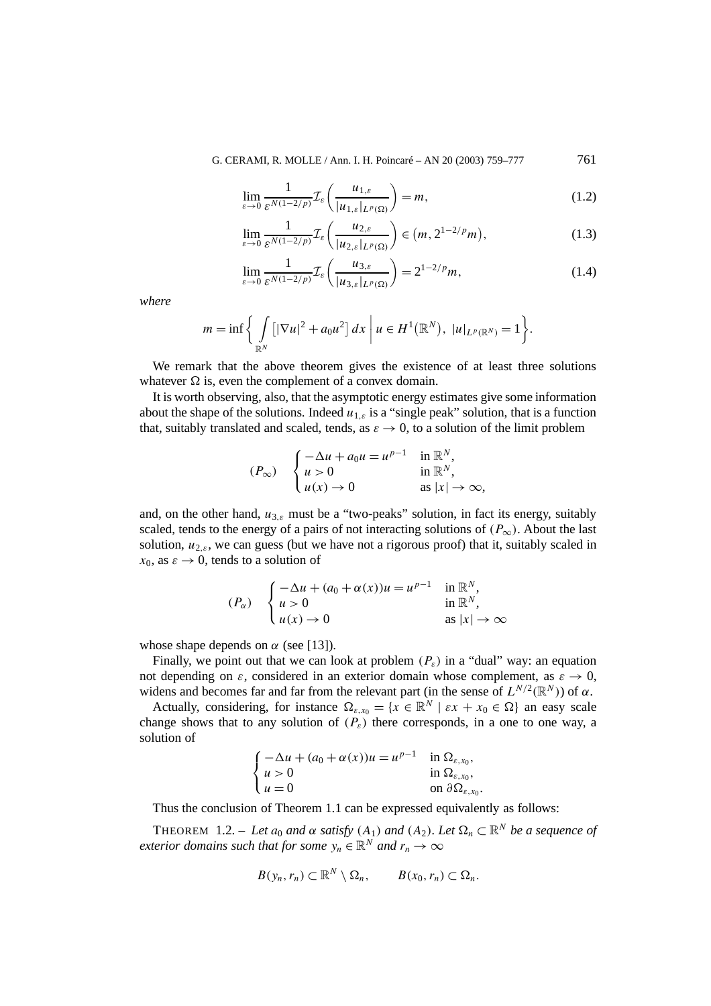G. CERAMI, R. MOLLE / Ann. I. H. Poincaré – AN 20 (2003) 759–777 761

$$
\lim_{\varepsilon \to 0} \frac{1}{\varepsilon^{N(1-2/p)}} \mathcal{I}_{\varepsilon} \left( \frac{u_{1,\varepsilon}}{|u_{1,\varepsilon}|_{L^p(\Omega)}} \right) = m,
$$
\n(1.2)

$$
\lim_{\varepsilon \to 0} \frac{1}{\varepsilon^{N(1-2/p)}} \mathcal{I}_{\varepsilon} \left( \frac{u_{2,\varepsilon}}{|u_{2,\varepsilon}|_{L^p(\Omega)}} \right) \in (m, 2^{1-2/p} m), \tag{1.3}
$$

$$
\lim_{\varepsilon \to 0} \frac{1}{\varepsilon^{N(1-2/p)}} \mathcal{I}_{\varepsilon} \left( \frac{u_{3,\varepsilon}}{|u_{3,\varepsilon}|_{L^p(\Omega)}} \right) = 2^{1-2/p} m,
$$
\n(1.4)

*where*

$$
m = \inf \bigg\{ \int_{\mathbb{R}^N} \left[ |\nabla u|^2 + a_0 u^2 \right] dx \ \bigg| \ u \in H^1(\mathbb{R}^N), \ |u|_{L^p(\mathbb{R}^N)} = 1 \bigg\}.
$$

We remark that the above theorem gives the existence of at least three solutions whatever  $\Omega$  is, even the complement of a convex domain.

It is worth observing, also, that the asymptotic energy estimates give some information about the shape of the solutions. Indeed  $u_{1,\varepsilon}$  is a "single peak" solution, that is a function that, suitably translated and scaled, tends, as  $\varepsilon \to 0$ , to a solution of the limit problem

$$
(P_{\infty}) \quad \begin{cases} -\Delta u + a_0 u = u^{p-1} & \text{in } \mathbb{R}^N, \\ u > 0 & \text{in } \mathbb{R}^N, \\ u(x) \to 0 & \text{as } |x| \to \infty, \end{cases}
$$

and, on the other hand, *u*<sup>3</sup>*,ε* must be a "two-peaks" solution, in fact its energy, suitably scaled, tends to the energy of a pairs of not interacting solutions of  $(P_\infty)$ . About the last solution,  $u_{2,\epsilon}$ , we can guess (but we have not a rigorous proof) that it, suitably scaled in  $x_0$ , as  $\varepsilon \to 0$ , tends to a solution of

$$
(P_{\alpha}) \quad \begin{cases} -\Delta u + (a_0 + \alpha(x))u = u^{p-1} & \text{in } \mathbb{R}^N, \\ u > 0 & \text{in } \mathbb{R}^N, \\ u(x) \to 0 & \text{as } |x| \to \infty \end{cases}
$$

whose shape depends on  $\alpha$  (see [13]).

Finally, we point out that we can look at problem  $(P_{\varepsilon})$  in a "dual" way: an equation not depending on  $\varepsilon$ , considered in an exterior domain whose complement, as  $\varepsilon \to 0$ , widens and becomes far and far from the relevant part (in the sense of  $L^{N/2}(\mathbb{R}^N)$ ) of  $\alpha$ .

Actually, considering, for instance  $\Omega_{\varepsilon,x_0} = \{x \in \mathbb{R}^N \mid \varepsilon x + x_0 \in \Omega\}$  an easy scale change shows that to any solution of  $(P_{\varepsilon})$  there corresponds, in a one to one way, a solution of

$$
\begin{cases}\n-\Delta u + (a_0 + \alpha(x))u = u^{p-1} & \text{in } \Omega_{\varepsilon, x_0}, \\
u > 0 & \text{in } \Omega_{\varepsilon, x_0}, \\
u = 0 & \text{on } \partial \Omega_{\varepsilon, x_0}.\n\end{cases}
$$

Thus the conclusion of Theorem 1.1 can be expressed equivalently as follows:

THEOREM 1.2. – *Let*  $a_0$  *and*  $\alpha$  *satisfy*  $(A_1)$  *and*  $(A_2)$ *. Let*  $\Omega_n \subset \mathbb{R}^N$  *be a sequence of exterior domains such that for some*  $y_n \in \mathbb{R}^N$  *and*  $r_n \to \infty$ 

$$
B(y_n,r_n)\subset\mathbb{R}^N\setminus\Omega_n,\qquad B(x_0,r_n)\subset\Omega_n.
$$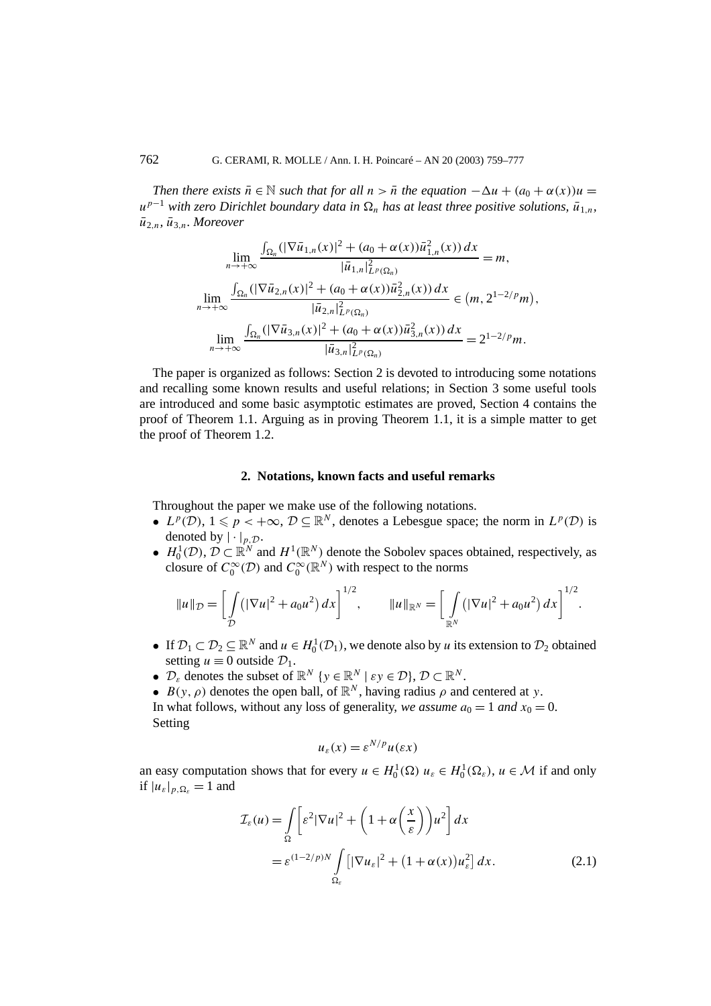*Then there exists*  $\bar{n} \in \mathbb{N}$  *such that for all*  $n > \bar{n}$  *the equation*  $-\Delta u + (a_0 + \alpha(x))u =$ *u*<sup>*p*−1</sup> *with zero Dirichlet boundary data in*  $Ω$ <sub>*n</sub></sub> has at least three positive solutions,*  $\bar{u}_{1,n}$ *,</sub>*  $\bar{u}_{2n}$ ,  $\bar{u}_{3n}$ *. Moreover* 

$$
\lim_{n \to +\infty} \frac{\int_{\Omega_n} (|\nabla \bar{u}_{1,n}(x)|^2 + (a_0 + \alpha(x))\bar{u}_{1,n}^2(x)) dx}{|\bar{u}_{1,n}|_{L^p(\Omega_n)}^2} = m,
$$
\n
$$
\lim_{n \to +\infty} \frac{\int_{\Omega_n} (|\nabla \bar{u}_{2,n}(x)|^2 + (a_0 + \alpha(x))\bar{u}_{2,n}^2(x)) dx}{|\bar{u}_{2,n}|_{L^p(\Omega_n)}^2} \in (m, 2^{1-2/p}m),
$$
\n
$$
\lim_{n \to +\infty} \frac{\int_{\Omega_n} (|\nabla \bar{u}_{3,n}(x)|^2 + (a_0 + \alpha(x))\bar{u}_{3,n}^2(x)) dx}{|\bar{u}_{3,n}|_{L^p(\Omega_n)}^2} = 2^{1-2/p}m.
$$

The paper is organized as follows: Section 2 is devoted to introducing some notations and recalling some known results and useful relations; in Section 3 some useful tools are introduced and some basic asymptotic estimates are proved, Section 4 contains the proof of Theorem 1.1. Arguing as in proving Theorem 1.1, it is a simple matter to get the proof of Theorem 1.2.

# **2. Notations, known facts and useful remarks**

Throughout the paper we make use of the following notations.

- $L^p(\mathcal{D}), 1 \leq p < +\infty, \mathcal{D} \subseteq \mathbb{R}^N$ , denotes a Lebesgue space; the norm in  $L^p(\mathcal{D})$  is denoted by  $|\cdot|_{p,\mathcal{D}}$ .
- $H_0^1(\mathcal{D})$ ,  $\mathcal{D} \subset \mathbb{R}^N$  and  $H^1(\mathbb{R}^N)$  denote the Sobolev spaces obtained, respectively, as closure of  $C_0^{\infty}(\mathcal{D})$  and  $C_0^{\infty}(\mathbb{R}^N)$  with respect to the norms

$$
||u||_{\mathcal{D}} = \left[ \int_{\mathcal{D}} \left( |\nabla u|^2 + a_0 u^2 \right) dx \right]^{1/2}, \qquad ||u||_{\mathbb{R}^N} = \left[ \int_{\mathbb{R}^N} \left( |\nabla u|^2 + a_0 u^2 \right) dx \right]^{1/2}.
$$

- If  $\mathcal{D}_1 \subset \mathcal{D}_2 \subseteq \mathbb{R}^N$  and  $u \in H_0^1(\mathcal{D}_1)$ , we denote also by *u* its extension to  $\mathcal{D}_2$  obtained setting  $u \equiv 0$  outside  $\mathcal{D}_1$ .
- $\mathcal{D}_{\varepsilon}$  denotes the subset of  $\mathbb{R}^N$  {*y*  $\in \mathbb{R}^N \mid \varepsilon y \in \mathcal{D}$ },  $\mathcal{D} \subset \mathbb{R}^N$ .
- $B(y, \rho)$  denotes the open ball, of  $\mathbb{R}^N$ , having radius  $\rho$  and centered at *y*.

In what follows, without any loss of generality, *we assume*  $a_0 = 1$  *and*  $x_0 = 0$ . Setting

$$
u_{\varepsilon}(x) = \varepsilon^{N/p} u(\varepsilon x)
$$

an easy computation shows that for every  $u \in H_0^1(\Omega)$   $u_\varepsilon \in H_0^1(\Omega_\varepsilon)$ ,  $u \in \mathcal{M}$  if and only if  $|u_{\varepsilon}|_{p,\Omega_{\varepsilon}} = 1$  and

$$
\mathcal{I}_{\varepsilon}(u) = \int_{\Omega} \left[ \varepsilon^2 |\nabla u|^2 + \left( 1 + \alpha \left( \frac{x}{\varepsilon} \right) \right) u^2 \right] dx
$$
  
=  $\varepsilon^{(1-2/p)N} \int_{\Omega_{\varepsilon}} \left[ |\nabla u_{\varepsilon}|^2 + (1 + \alpha(x)) u_{\varepsilon}^2 \right] dx.$  (2.1)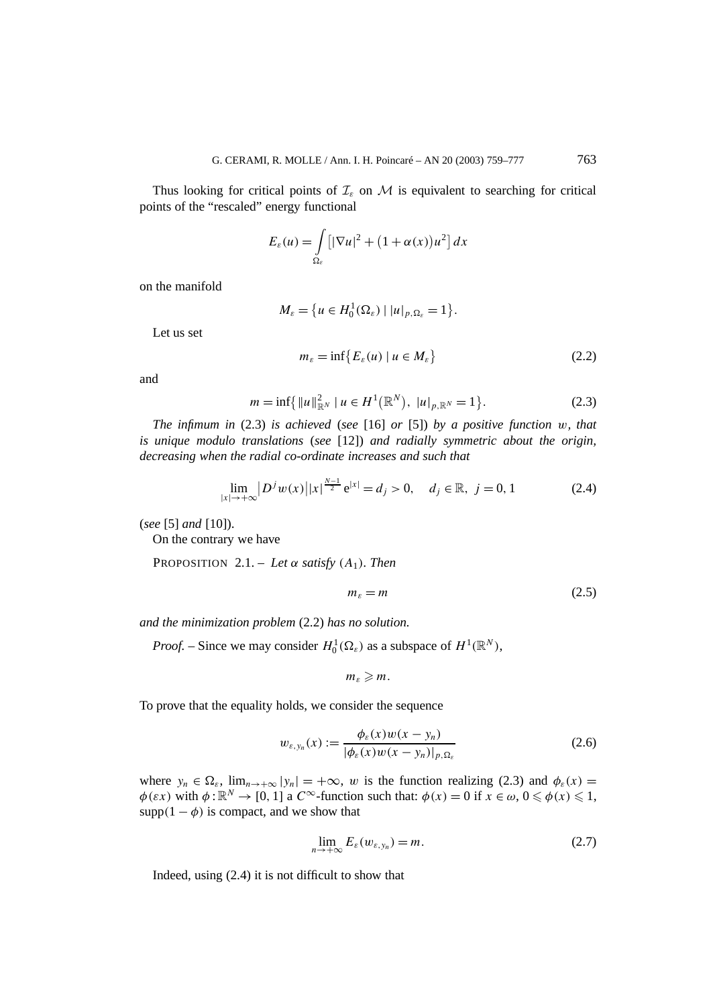Thus looking for critical points of  $\mathcal{I}_{\varepsilon}$  on M is equivalent to searching for critical points of the "rescaled" energy functional

$$
E_{\varepsilon}(u) = \int\limits_{\Omega_{\varepsilon}} \left[ |\nabla u|^2 + (1 + \alpha(x))u^2 \right] dx
$$

on the manifold

$$
M_{\varepsilon} = \{ u \in H_0^1(\Omega_{\varepsilon}) \mid |u|_{p,\Omega_{\varepsilon}} = 1 \}.
$$

Let us set

$$
m_{\varepsilon} = \inf \{ E_{\varepsilon}(u) \mid u \in M_{\varepsilon} \}
$$
\n<sup>(2.2)</sup>

and

$$
m = \inf \{ \|u\|_{\mathbb{R}^N}^2 \mid u \in H^1(\mathbb{R}^N), \ |u|_{p, \mathbb{R}^N} = 1 \}.
$$
 (2.3)

*The infimum in* (2.3) *is achieved* (*see* [16] *or* [5]) *by a positive function w, that is unique modulo translations* (*see* [12]) *and radially symmetric about the origin, decreasing when the radial co-ordinate increases and such that*

$$
\lim_{|x| \to +\infty} |D^j w(x)| |x|^{\frac{N-1}{2}} e^{|x|} = d_j > 0, \quad d_j \in \mathbb{R}, \ j = 0, 1
$$
 (2.4)

(*see* [5] *and* [10]).

On the contrary we have

PROPOSITION 2.1. – Let  $\alpha$  *satisfy*  $(A_1)$ *. Then* 

$$
m_{\varepsilon} = m \tag{2.5}
$$

*and the minimization problem* (2.2) *has no solution.*

*Proof.* – Since we may consider  $H_0^1(\Omega_\varepsilon)$  as a subspace of  $H^1(\mathbb{R}^N)$ ,

$$
m_{\varepsilon}\geqslant m.
$$

To prove that the equality holds, we consider the sequence

$$
w_{\varepsilon, y_n}(x) := \frac{\phi_{\varepsilon}(x)w(x - y_n)}{|\phi_{\varepsilon}(x)w(x - y_n)|_{p, \Omega_{\varepsilon}}}
$$
(2.6)

where  $y_n \in \Omega_{\varepsilon}$ ,  $\lim_{n \to +\infty} |y_n| = +\infty$ , *w* is the function realizing (2.3) and  $\phi_{\varepsilon}(x) =$  $\phi(\varepsilon x)$  with  $\phi: \mathbb{R}^N \to [0, 1]$  a  $C^\infty$ -function such that:  $\phi(x) = 0$  if  $x \in \omega, 0 \le \phi(x) \le 1$ , supp $(1 - \phi)$  is compact, and we show that

$$
\lim_{n \to +\infty} E_{\varepsilon}(w_{\varepsilon, y_n}) = m. \tag{2.7}
$$

Indeed, using (2.4) it is not difficult to show that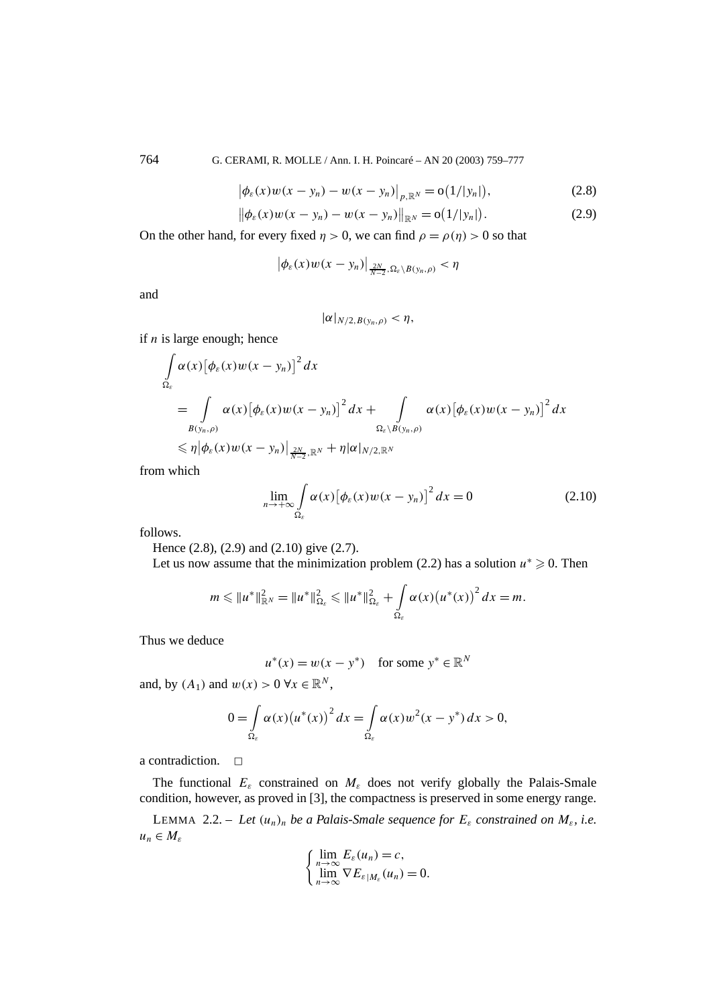764 G. CERAMI, R. MOLLE / Ann. I. H. Poincaré – AN 20 (2003) 759–777

$$
|\phi_{\varepsilon}(x)w(x - y_n) - w(x - y_n)|_{p, \mathbb{R}^N} = o(1/|y_n|),
$$
\n(2.8)

$$
\|\phi_{\varepsilon}(x)w(x - y_n) - w(x - y_n)\|_{\mathbb{R}^N} = o(1/|y_n|). \tag{2.9}
$$

On the other hand, for every fixed  $\eta > 0$ , we can find  $\rho = \rho(\eta) > 0$  so that

$$
\left|\phi_{\varepsilon}(x)w(x-y_n)\right|_{\frac{2N}{N-2},\Omega_{\varepsilon}\setminus B(y_n,\rho)}<\eta
$$

and

$$
|\alpha|_{N/2,B(y_n,\rho)}<\eta,
$$

if *n* is large enough; hence

$$
\int_{\Omega_{\varepsilon}} \alpha(x) \left[ \phi_{\varepsilon}(x) w(x - y_n) \right]^2 dx
$$
\n  
\n
$$
= \int_{B(y_n, \rho)} \alpha(x) \left[ \phi_{\varepsilon}(x) w(x - y_n) \right]^2 dx + \int_{\Omega_{\varepsilon} \setminus B(y_n, \rho)} \alpha(x) \left[ \phi_{\varepsilon}(x) w(x - y_n) \right]^2 dx
$$
\n  
\n
$$
\leq \eta \left| \phi_{\varepsilon}(x) w(x - y_n) \right|_{\frac{2N}{N-2}, \mathbb{R}^N} + \eta \left| \alpha \right|_{N/2, \mathbb{R}^N}
$$

from which

$$
\lim_{n \to +\infty} \int_{\Omega_{\varepsilon}} \alpha(x) \left[ \phi_{\varepsilon}(x) w(x - y_n) \right]^2 dx = 0 \tag{2.10}
$$

follows.

Hence (2.8), (2.9) and (2.10) give (2.7).

Let us now assume that the minimization problem (2.2) has a solution  $u^* \geq 0$ . Then

$$
m \leq \|u^*\|_{\mathbb{R}^N}^2 = \|u^*\|_{\Omega_{\varepsilon}}^2 \leq \|u^*\|_{\Omega_{\varepsilon}}^2 + \int_{\Omega_{\varepsilon}} \alpha(x) (u^*(x))^2 dx = m.
$$

Thus we deduce

$$
u^*(x) = w(x - y^*) \quad \text{for some } y^* \in \mathbb{R}^N
$$

and, by  $(A_1)$  and  $w(x) > 0 \forall x \in \mathbb{R}^N$ ,

$$
0 = \int\limits_{\Omega_{\varepsilon}} \alpha(x) (u^*(x))^2 dx = \int\limits_{\Omega_{\varepsilon}} \alpha(x) w^2 (x - y^*) dx > 0,
$$

a contradiction.  $\Box$ 

The functional  $E_{\varepsilon}$  constrained on  $M_{\varepsilon}$  does not verify globally the Palais-Smale condition, however, as proved in [3], the compactness is preserved in some energy range.

LEMMA 2.2. – Let  $(u_n)_n$  be a Palais-Smale sequence for  $E_\varepsilon$  constrained on  $M_\varepsilon$ , i.e.  $u_n \in M_{\varepsilon}$ 

$$
\begin{cases}\n\lim_{n\to\infty} E_{\varepsilon}(u_n) = c, \\
\lim_{n\to\infty} \nabla E_{\varepsilon|M_{\varepsilon}}(u_n) = 0.\n\end{cases}
$$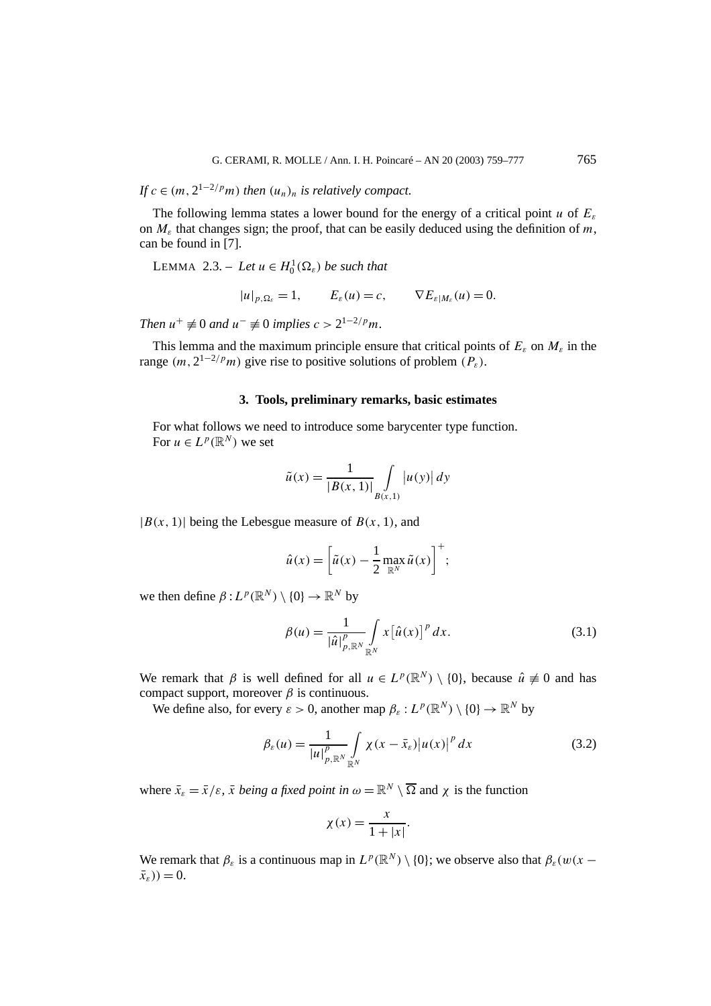*If*  $c \in (m, 2^{1-2/p}m)$  *then*  $(u_n)_n$  *is relatively compact.* 

The following lemma states a lower bound for the energy of a critical point *u* of *Eε* on *Mε* that changes sign; the proof, that can be easily deduced using the definition of *m*, can be found in [7].

LEMMA 2.3. – Let  $u \in H_0^1(\Omega_\varepsilon)$  be such that

$$
|u|_{p,\Omega_{\varepsilon}}=1, \qquad E_{\varepsilon}(u)=c, \qquad \nabla E_{\varepsilon|M_{\varepsilon}}(u)=0.
$$

*Then*  $u^+ \neq 0$  *and*  $u^- \neq 0$  *implies*  $c > 2^{1-2/p}m$ *.* 

This lemma and the maximum principle ensure that critical points of  $E_{\varepsilon}$  on  $M_{\varepsilon}$  in the range  $(m, 2^{1-2/p}m)$  give rise to positive solutions of problem  $(P_s)$ .

### **3. Tools, preliminary remarks, basic estimates**

For what follows we need to introduce some barycenter type function. For  $u \in L^p(\mathbb{R}^N)$  we set

$$
\tilde{u}(x) = \frac{1}{|B(x, 1)|} \int_{B(x, 1)} |u(y)| dy
$$

 $|B(x, 1)|$  being the Lebesgue measure of  $B(x, 1)$ , and

$$
\hat{u}(x) = \left[\tilde{u}(x) - \frac{1}{2} \max_{\mathbb{R}^N} \tilde{u}(x)\right]^+;
$$

we then define  $\beta: L^p(\mathbb{R}^N) \setminus \{0\} \to \mathbb{R}^N$  by

$$
\beta(u) = \frac{1}{|\hat{u}|_{p,\mathbb{R}^N}^p} \int\limits_{\mathbb{R}^N} x \left[\hat{u}(x)\right]^p dx.
$$
\n(3.1)

We remark that *β* is well defined for all  $u \in L^p(\mathbb{R}^N) \setminus \{0\}$ , because  $\hat{u} \neq 0$  and has compact support, moreover  $β$  is continuous.

We define also, for every  $\varepsilon > 0$ , another map  $\beta_{\varepsilon}: L^p(\mathbb{R}^N) \setminus \{0\} \to \mathbb{R}^N$  by

$$
\beta_{\varepsilon}(u) = \frac{1}{|u|_{p,\mathbb{R}^N}^p} \int\limits_{\mathbb{R}^N} \chi(x - \bar{x}_{\varepsilon}) |u(x)|^p dx \tag{3.2}
$$

where  $\bar{x}_{\varepsilon} = \bar{x}/\varepsilon$ ,  $\bar{x}$  *being a fixed point in*  $\omega = \mathbb{R}^N \setminus \overline{\Omega}$  and  $\chi$  is the function

$$
\chi(x) = \frac{x}{1+|x|}.
$$

We remark that  $\beta_{\varepsilon}$  is a continuous map in  $L^p(\mathbb{R}^N) \setminus \{0\}$ ; we observe also that  $\beta_{\varepsilon}(w(x (\bar{x}_{\varepsilon})$ ) = 0.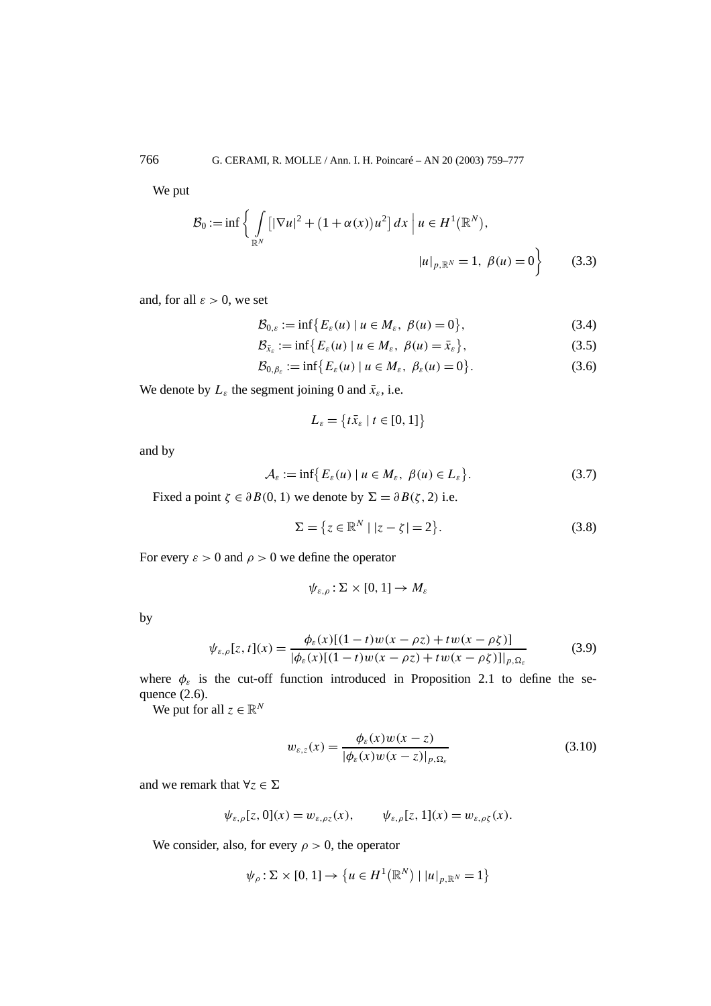We put

$$
\mathcal{B}_0 := \inf \left\{ \int_{\mathbb{R}^N} \left[ |\nabla u|^2 + (1 + \alpha(x))u^2 \right] dx \, \Big| \, u \in H^1(\mathbb{R}^N), \right\}
$$

$$
|u|_{p, \mathbb{R}^N} = 1, \ \beta(u) = 0 \right\} \tag{3.3}
$$

and, for all  $\varepsilon > 0$ , we set

$$
\mathcal{B}_{0,\varepsilon} := \inf \{ E_{\varepsilon}(u) \mid u \in M_{\varepsilon}, \ \beta(u) = 0 \},\tag{3.4}
$$

$$
\mathcal{B}_{\bar{x}_{\varepsilon}} := \inf \{ E_{\varepsilon}(u) \mid u \in M_{\varepsilon}, \ \beta(u) = \bar{x}_{\varepsilon} \},\tag{3.5}
$$

$$
\mathcal{B}_{0,\beta_{\varepsilon}} := \inf \{ E_{\varepsilon}(u) \mid u \in M_{\varepsilon}, \ \beta_{\varepsilon}(u) = 0 \}.
$$
 (3.6)

We denote by  $L_{\varepsilon}$  the segment joining 0 and  $\bar{x}_{\varepsilon}$ , i.e.

$$
L_{\varepsilon} = \big\{ t \bar{x}_{\varepsilon} \mid t \in [0, 1] \big\}
$$

and by

$$
\mathcal{A}_{\varepsilon} := \inf \{ E_{\varepsilon}(u) \mid u \in M_{\varepsilon}, \ \beta(u) \in L_{\varepsilon} \}.
$$
 (3.7)

Fixed a point  $\zeta \in \partial B(0, 1)$  we denote by  $\Sigma = \partial B(\zeta, 2)$  i.e.

$$
\Sigma = \{ z \in \mathbb{R}^N \mid |z - \zeta| = 2 \}. \tag{3.8}
$$

For every  $\varepsilon > 0$  and  $\rho > 0$  we define the operator

$$
\psi_{\varepsilon,\rho} : \Sigma \times [0,1] \to M_{\varepsilon}
$$

by

$$
\psi_{\varepsilon,\rho}[z,t](x) = \frac{\phi_{\varepsilon}(x)[(1-t)w(x-\rho z) + tw(x-\rho \zeta)]}{|\phi_{\varepsilon}(x)[(1-t)w(x-\rho z) + tw(x-\rho \zeta)]|_{p,\Omega_{\varepsilon}}}
$$
(3.9)

where  $\phi_{\varepsilon}$  is the cut-off function introduced in Proposition 2.1 to define the sequence (2.6).

We put for all  $z \in \mathbb{R}^N$ 

$$
w_{\varepsilon,z}(x) = \frac{\phi_{\varepsilon}(x)w(x-z)}{|\phi_{\varepsilon}(x)w(x-z)|_{p,\Omega_{\varepsilon}}}
$$
(3.10)

and we remark that  $\forall z \in \Sigma$ 

$$
\psi_{\varepsilon,\rho}[z,0](x) = w_{\varepsilon,\rho z}(x), \qquad \psi_{\varepsilon,\rho}[z,1](x) = w_{\varepsilon,\rho \zeta}(x).
$$

We consider, also, for every  $\rho > 0$ , the operator

 $\psi_{\rho} : \Sigma \times [0, 1] \to \{ u \in H^{1}(\mathbb{R}^{N}) \mid |u|_{p, \mathbb{R}^{N}} = 1 \}$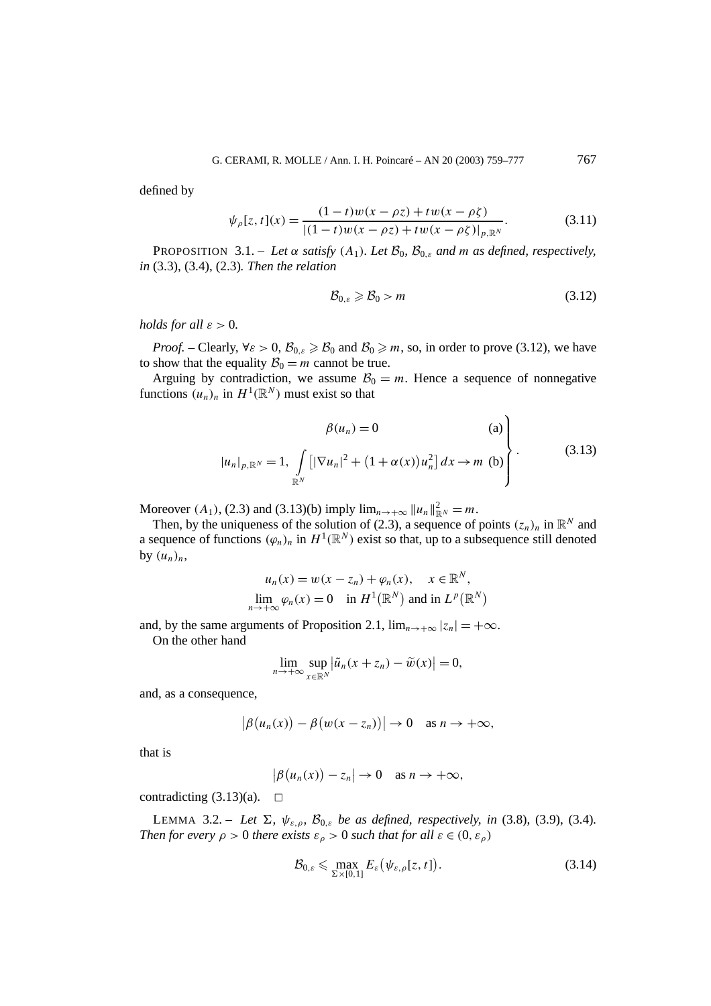defined by

$$
\psi_{\rho}[z,t](x) = \frac{(1-t)w(x-\rho z) + tw(x-\rho \zeta)}{|(1-t)w(x-\rho z) + tw(x-\rho \zeta)|_{p,\mathbb{R}^N}}.\tag{3.11}
$$

PROPOSITION 3.1. – Let  $\alpha$  *satisfy*  $(A_1)$ *. Let*  $B_0$ *,*  $B_{0,\varepsilon}$  *and m as defined, respectively, in* (3.3), (3.4), (2.3)*. Then the relation*

$$
\mathcal{B}_{0,\varepsilon} \geqslant \mathcal{B}_0 > m \tag{3.12}
$$

 $\overline{\phantom{0}}$ 

*holds for all*  $\varepsilon > 0$ *.* 

*Proof.* – Clearly,  $\forall \varepsilon > 0$ ,  $\mathcal{B}_{0,\varepsilon} \geq \mathcal{B}_0$  and  $\mathcal{B}_0 \geq m$ , so, in order to prove (3.12), we have to show that the equality  $B_0 = m$  cannot be true.

Arguing by contradiction, we assume  $B_0 = m$ . Hence a sequence of nonnegative functions  $(u_n)_n$  in  $H^1(\mathbb{R}^N)$  must exist so that

$$
\beta(u_n) = 0 \qquad (a)
$$
  

$$
|u_n|_{p, \mathbb{R}^N} = 1, \int_{\mathbb{R}^N} [|\nabla u_n|^2 + (1 + \alpha(x))u_n^2] dx \to m \text{ (b)}
$$
 (3.13)

Moreover  $(A_1)$ ,  $(2.3)$  and  $(3.13)(b)$  imply  $\lim_{n \to +\infty} ||u_n||_{\mathbb{R}^N}^2 = m$ .

Then, by the uniqueness of the solution of (2.3), a sequence of points  $(z_n)_n$  in  $\mathbb{R}^N$  and a sequence of functions  $(\varphi_n)_n$  in  $H^1(\mathbb{R}^N)$  exist so that, up to a subsequence still denoted by  $(u_n)_n$ ,

$$
u_n(x) = w(x - z_n) + \varphi_n(x), \quad x \in \mathbb{R}^N,
$$
  
\n
$$
\lim_{n \to +\infty} \varphi_n(x) = 0 \quad \text{in } H^1(\mathbb{R}^N) \text{ and in } L^p(\mathbb{R}^N)
$$

and, by the same arguments of Proposition 2.1,  $\lim_{n\to+\infty} |z_n| = +\infty$ .

On the other hand

$$
\lim_{n\to+\infty}\sup_{x\in\mathbb{R}^N}\left|\tilde{u}_n(x+z_n)-\tilde{w}(x)\right|=0,
$$

and, as a consequence,

$$
\big|\beta\big(u_n(x)\big)-\beta\big(w(x-z_n)\big)\big|\to 0 \quad \text{as } n\to+\infty,
$$

that is

$$
\big|\beta\big(u_n(x)\big)-z_n\big|\to 0 \quad \text{as } n\to+\infty,
$$

contradicting  $(3.13)(a)$ .  $\Box$ 

**LEMMA** 3.2. – *Let*  $\Sigma$ *,*  $\psi_{\varepsilon,\rho}$ *,*  $\mathcal{B}_{0,\varepsilon}$  *be as defined, respectively, in* (3.8), (3.9), (3.4)*. Then for every*  $\rho > 0$  *there exists*  $\varepsilon_{\rho} > 0$  *such that for all*  $\varepsilon \in (0, \varepsilon_{\rho})$ 

$$
\mathcal{B}_{0,\varepsilon} \leqslant \max_{\Sigma \times [0,1]} E_{\varepsilon} \big( \psi_{\varepsilon,\rho}[z,t] \big). \tag{3.14}
$$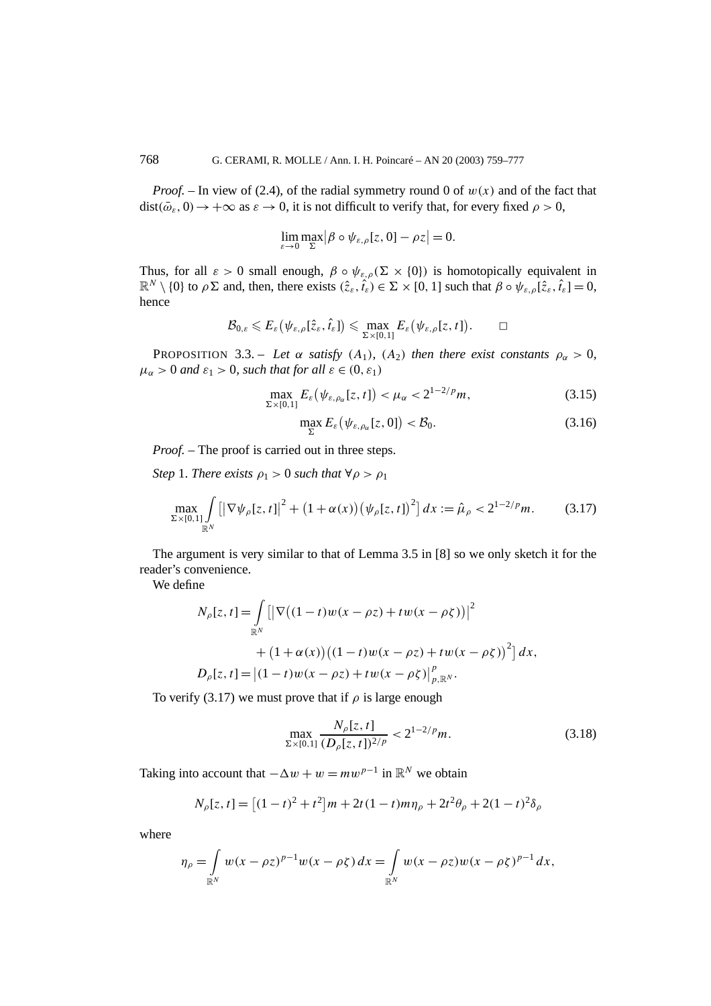*Proof.* – In view of (2.4), of the radial symmetry round 0 of  $w(x)$  and of the fact that  $dist(\bar{\omega}_{\varepsilon}, 0) \rightarrow +\infty$  as  $\varepsilon \rightarrow 0$ , it is not difficult to verify that, for every fixed  $\rho > 0$ ,

$$
\lim_{\varepsilon \to 0} \max_{\Sigma} |\beta \circ \psi_{\varepsilon,\rho}[z,0] - \rho z| = 0.
$$

Thus, for all  $\varepsilon > 0$  small enough,  $\beta \circ \psi_{\varepsilon,\rho}(\Sigma \times \{0\})$  is homotopically equivalent in  $\mathbb{R}^N \setminus \{0\}$  to  $\rho \Sigma$  and, then, there exists  $(\hat{z}_{\varepsilon}, \hat{t}_{\varepsilon}) \in \Sigma \times [0, 1]$  such that  $\beta \circ \psi_{\varepsilon, \rho}[\hat{z}_{\varepsilon}, \hat{t}_{\varepsilon}] = 0$ , hence

$$
\mathcal{B}_{0,\varepsilon} \leqslant E_\varepsilon\big(\psi_{\varepsilon,\rho}[\hat{z}_\varepsilon,\hat{t}_\varepsilon]\big) \leqslant \max_{\Sigma\times[0,1]}E_\varepsilon\big(\psi_{\varepsilon,\rho}[z,t]\big). \qquad \Box
$$

PROPOSITION 3.3. – Let  $\alpha$  satisfy  $(A_1)$ ,  $(A_2)$  then there exist constants  $\rho_{\alpha} > 0$ ,  $\mu_{\alpha} > 0$  *and*  $\varepsilon_1 > 0$ *, such that for all*  $\varepsilon \in (0, \varepsilon_1)$ 

$$
\max_{\Sigma \times [0,1]} E_{\varepsilon} \left( \psi_{\varepsilon,\rho_{\alpha}}[z,t] \right) < \mu_{\alpha} < 2^{1-2/p} m,\tag{3.15}
$$

$$
\max_{\Sigma} E_{\varepsilon} \big( \psi_{\varepsilon, \rho_{\alpha}}[z, 0] \big) < \mathcal{B}_0. \tag{3.16}
$$

*Proof.* – The proof is carried out in three steps.

*Step* 1. *There exists*  $\rho_1 > 0$  *such that*  $\forall \rho > \rho_1$ 

$$
\max_{\Sigma \times [0,1]} \int_{\mathbb{R}^N} \left[ \left| \nabla \psi_{\rho}[z,t] \right|^2 + (1 + \alpha(x)) \left( \psi_{\rho}[z,t] \right)^2 \right] dx := \hat{\mu}_{\rho} < 2^{1-2/p} m. \tag{3.17}
$$

The argument is very similar to that of Lemma 3.5 in [8] so we only sketch it for the reader's convenience.

We define

$$
N_{\rho}[z, t] = \int_{\mathbb{R}^{N}} \left[ \left| \nabla \left( (1 - t) w(x - \rho z) + tw(x - \rho \zeta) \right) \right|^{2} \right. \\ \left. + (1 + \alpha(x)) \left( (1 - t) w(x - \rho z) + tw(x - \rho \zeta) \right)^{2} \right] dx,
$$
  
\n
$$
D_{\rho}[z, t] = \left| (1 - t) w(x - \rho z) + tw(x - \rho \zeta) \right|_{p, \mathbb{R}^{N}}^{p}.
$$

To verify (3.17) we must prove that if  $\rho$  is large enough

$$
\max_{\Sigma \times [0,1]} \frac{N_{\rho}[z,t]}{(D_{\rho}[z,t])^{2/p}} < 2^{1-2/p}m. \tag{3.18}
$$

Taking into account that  $-\Delta w + w = m w^{p-1}$  in  $\mathbb{R}^N$  we obtain

$$
N_{\rho}[z, t] = [(1 - t)^{2} + t^{2}]m + 2t(1 - t)m\eta_{\rho} + 2t^{2}\theta_{\rho} + 2(1 - t)^{2}\delta_{\rho}
$$

where

$$
\eta_{\rho} = \int_{\mathbb{R}^N} w(x - \rho z)^{p-1} w(x - \rho \zeta) dx = \int_{\mathbb{R}^N} w(x - \rho z) w(x - \rho \zeta)^{p-1} dx,
$$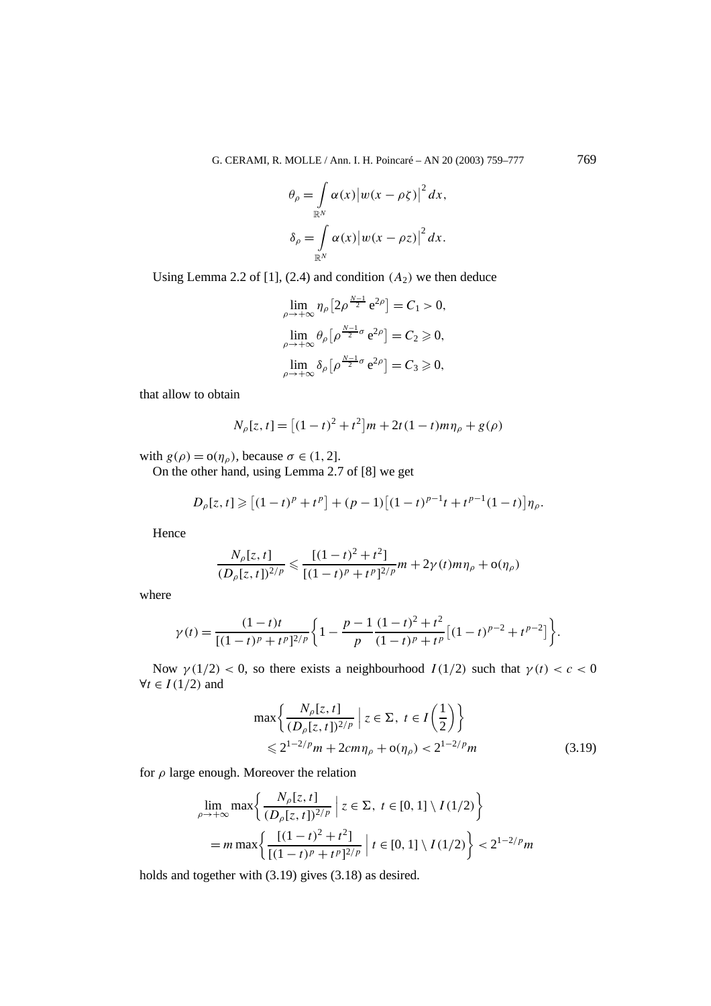G. CERAMI, R. MOLLE / Ann. I. H. Poincaré – AN 20 (2003) 759–777 769

$$
\theta_{\rho} = \int_{\mathbb{R}^N} \alpha(x) |w(x - \rho \zeta)|^2 dx,
$$
  

$$
\delta_{\rho} = \int_{\mathbb{R}^N} \alpha(x) |w(x - \rho z)|^2 dx.
$$

Using Lemma 2.2 of [1],  $(2.4)$  and condition  $(A_2)$  we then deduce

$$
\lim_{\rho \to +\infty} \eta_{\rho} \left[ 2\rho^{\frac{N-1}{2}} e^{2\rho} \right] = C_1 > 0,
$$
  

$$
\lim_{\rho \to +\infty} \theta_{\rho} \left[ \rho^{\frac{N-1}{2}\sigma} e^{2\rho} \right] = C_2 \geq 0,
$$
  

$$
\lim_{\rho \to +\infty} \delta_{\rho} \left[ \rho^{\frac{N-1}{2}\sigma} e^{2\rho} \right] = C_3 \geq 0,
$$

that allow to obtain

$$
N_{\rho}[z, t] = [(1 - t)^{2} + t^{2}]m + 2t(1 - t)m\eta_{\rho} + g(\rho)
$$

with  $g(\rho) = o(\eta_{\rho})$ , because  $\sigma \in (1, 2]$ .

On the other hand, using Lemma 2.7 of [8] we get

$$
D_{\rho}[z,t] \geq [(1-t)^p + t^p] + (p-1)[(1-t)^{p-1}t + t^{p-1}(1-t)]\eta_{\rho}.
$$

Hence

$$
\frac{N_{\rho}[z,t]}{(D_{\rho}[z,t])^{2/p}} \leq \frac{[(1-t)^2+t^2]}{[(1-t)^p+t^p]^{2/p}}m+2\gamma(t)m\eta_{\rho}+o(\eta_{\rho})
$$

where

$$
\gamma(t) = \frac{(1-t)t}{[(1-t)^p + t^p]^{2/p}} \left\{ 1 - \frac{p-1}{p} \frac{(1-t)^2 + t^2}{(1-t)^p + t^p} \left[ (1-t)^{p-2} + t^{p-2} \right] \right\}.
$$

Now *γ*(1/2*)* < 0, so there exists a neighbourhood  $I(1/2)$  such that  $γ(t) < c < 0$  $∀*t* ∈ *I*(1/2)$  and

$$
\max \left\{ \frac{N_{\rho}[z, t]}{(D_{\rho}[z, t])^{2/p}} \, \middle| \, z \in \Sigma, \ t \in I\left(\frac{1}{2}\right) \right\} \n\leq 2^{1-2/p} m + 2cm\eta_{\rho} + o(\eta_{\rho}) < 2^{1-2/p} m
$$
\n(3.19)

for *ρ* large enough. Moreover the relation

$$
\lim_{\rho \to +\infty} \max \left\{ \frac{N_{\rho}[z, t]}{(D_{\rho}[z, t])^{2/p}} \, \middle| \, z \in \Sigma, \ t \in [0, 1] \setminus I(1/2) \right\}
$$
\n
$$
= m \max \left\{ \frac{[(1 - t)^2 + t^2]}{[(1 - t)^p + t^p]^{2/p}} \, \middle| \, t \in [0, 1] \setminus I(1/2) \right\} < 2^{1 - 2/p} m
$$

holds and together with (3.19) gives (3.18) as desired.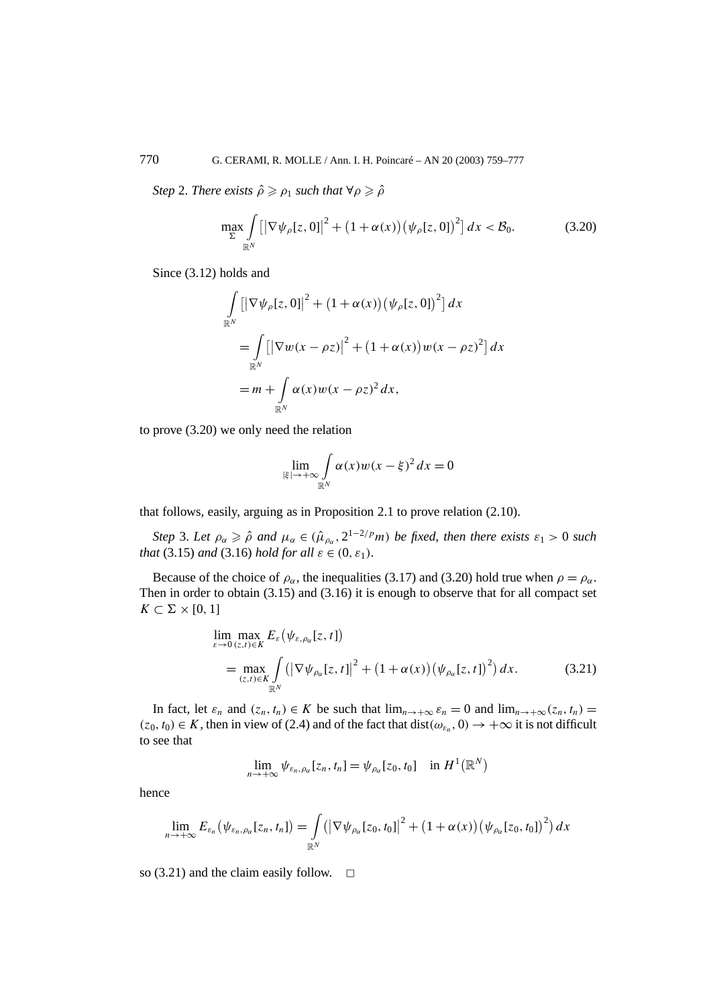*Step* 2. *There exists*  $\hat{\rho} \geq \rho_1$  *such that*  $\forall \rho \geq \hat{\rho}$ 

$$
\max_{\Sigma} \int\limits_{\mathbb{R}^N} \left[ \left| \nabla \psi_{\rho}[z,0] \right|^2 + \left( 1 + \alpha(x) \right) \left( \psi_{\rho}[z,0] \right)^2 \right] dx < \mathcal{B}_0. \tag{3.20}
$$

Since (3.12) holds and

$$
\int_{\mathbb{R}^N} \left[ \left| \nabla \psi_{\rho}[z, 0] \right|^2 + (1 + \alpha(x)) \left( \psi_{\rho}[z, 0] \right)^2 \right] dx
$$
  
\n
$$
= \int_{\mathbb{R}^N} \left[ \left| \nabla w(x - \rho z) \right|^2 + (1 + \alpha(x)) w(x - \rho z)^2 \right] dx
$$
  
\n
$$
= m + \int_{\mathbb{R}^N} \alpha(x) w(x - \rho z)^2 dx,
$$

to prove (3.20) we only need the relation

$$
\lim_{|\xi| \to +\infty} \int_{\mathbb{R}^N} \alpha(x) w(x - \xi)^2 dx = 0
$$

that follows, easily, arguing as in Proposition 2.1 to prove relation (2.10).

*Step* 3. *Let*  $\rho_{\alpha} \geq \hat{\rho}$  *and*  $\mu_{\alpha} \in (\hat{\mu}_{\rho_{\alpha}}, 2^{1-2/p}m)$  *be fixed, then there exists*  $\varepsilon_1 > 0$  *such that* (3.15) *and* (3.16) *hold for all*  $\varepsilon \in (0, \varepsilon_1)$ *.* 

Because of the choice of  $\rho_{\alpha}$ , the inequalities (3.17) and (3.20) hold true when  $\rho = \rho_{\alpha}$ . Then in order to obtain (3.15) and (3.16) it is enough to observe that for all compact set  $K \subset \Sigma \times [0, 1]$ 

$$
\lim_{\varepsilon \to 0} \max_{(z,t) \in K} E_{\varepsilon}(\psi_{\varepsilon,\rho_{\alpha}}[z,t])
$$
\n
$$
= \max_{(z,t) \in K} \int_{\mathbb{R}^N} (|\nabla \psi_{\rho_{\alpha}}[z,t]|^2 + (1 + \alpha(x)) (\psi_{\rho_{\alpha}}[z,t])^2) dx.
$$
\n(3.21)

In fact, let  $\varepsilon_n$  and  $(z_n, t_n) \in K$  be such that  $\lim_{n \to +\infty} \varepsilon_n = 0$  and  $\lim_{n \to +\infty} (z_n, t_n) =$  $(z_0, t_0) \in K$ , then in view of (2.4) and of the fact that dist $(\omega_{\varepsilon_n}, 0) \to +\infty$  it is not difficult to see that

$$
\lim_{n\to+\infty}\psi_{\varepsilon_n,\rho_\alpha}[z_n,t_n]=\psi_{\rho_\alpha}[z_0,t_0]\quad\text{in }H^1(\mathbb{R}^N)
$$

hence

$$
\lim_{n\to+\infty} E_{\varepsilon_n}(\psi_{\varepsilon_n,\rho_\alpha}[z_n,t_n]) = \int\limits_{\mathbb{R}^N} (|\nabla \psi_{\rho_\alpha}[z_0,t_0]|^2 + (1+\alpha(x))(\psi_{\rho_\alpha}[z_0,t_0])^2) dx
$$

so (3.21) and the claim easily follow.  $\Box$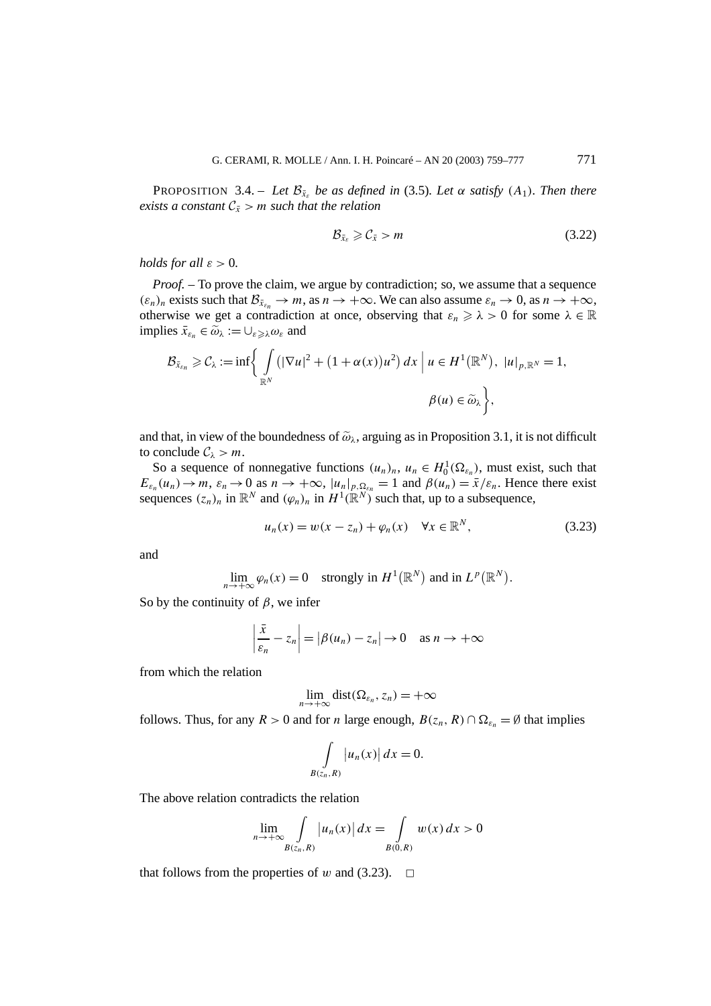PROPOSITION 3.4. – *Let*  $\mathcal{B}_{\bar{x}_s}$  *be as defined in* (3.5)*. Let*  $\alpha$  *satisfy*  $(A_1)$ *. Then there exists a constant*  $C_{\bar{x}} > m$  *such that the relation* 

$$
\mathcal{B}_{\bar{x}_{\varepsilon}} \geqslant \mathcal{C}_{\bar{x}} > m \tag{3.22}
$$

*holds for all*  $\varepsilon > 0$ *.* 

*Proof.* – To prove the claim, we argue by contradiction; so, we assume that a sequence  $(\varepsilon_n)_n$  exists such that  $\mathcal{B}_{\bar{x}_{\varepsilon_n}} \to m$ , as  $n \to +\infty$ . We can also assume  $\varepsilon_n \to 0$ , as  $n \to +\infty$ , otherwise we get a contradiction at once, observing that  $\varepsilon_n \geq \lambda > 0$  for some  $\lambda \in \mathbb{R}$ implies  $\bar{x}_{\varepsilon_n} \in \tilde{\omega}_\lambda := \cup_{\varepsilon \geqslant \lambda} \omega_\varepsilon$  and

$$
\mathcal{B}_{\bar{x}_{\varepsilon_n}} \geqslant \mathcal{C}_{\lambda} := \inf \bigg\{ \int\limits_{\mathbb{R}^N} \left( |\nabla u|^2 + (1 + \alpha(x))u^2 \right) dx \bigg| u \in H^1(\mathbb{R}^N), \ |u|_{p,\mathbb{R}^N} = 1,
$$
  

$$
\beta(u) \in \widetilde{\omega}_{\lambda} \bigg\},
$$

and that, in view of the boundedness of  $\tilde{\omega}_\lambda$ , arguing as in Proposition 3.1, it is not difficult to conclude  $C_\lambda > m$ .

So a sequence of nonnegative functions  $(u_n)_n$ ,  $u_n \in H_0^1(\Omega_{\varepsilon_n})$ , must exist, such that  $E_{\varepsilon_n}(u_n) \to m$ ,  $\varepsilon_n \to 0$  as  $n \to +\infty$ ,  $|u_n|_{p,\Omega_{\varepsilon_n}} = 1$  and  $\beta(u_n) = \bar{x}/\varepsilon_n$ . Hence there exist sequences  $(z_n)_n$  in  $\mathbb{R}^N$  and  $(\varphi_n)_n$  in  $H^1(\mathbb{R}^N)$  such that, up to a subsequence,

$$
u_n(x) = w(x - z_n) + \varphi_n(x) \quad \forall x \in \mathbb{R}^N,
$$
\n(3.23)

and

 $\lim_{n \to +\infty} \varphi_n(x) = 0$  strongly in  $H^1(\mathbb{R}^N)$  and in  $L^p(\mathbb{R}^N)$ .

So by the continuity of  $\beta$ , we infer

$$
\left|\frac{\bar{x}}{\varepsilon_n} - z_n\right| = |\beta(u_n) - z_n| \to 0 \quad \text{as } n \to +\infty
$$

from which the relation

$$
\lim_{n\to+\infty} \text{dist}(\Omega_{\varepsilon_n},z_n)=+\infty
$$

follows. Thus, for any  $R > 0$  and for *n* large enough,  $B(z_n, R) \cap \Omega_{\varepsilon_n} = \emptyset$  that implies

$$
\int\limits_{B(z_n,R)}\big|u_n(x)\big|\,dx=0.
$$

The above relation contradicts the relation

$$
\lim_{n \to +\infty} \int\limits_{B(z_n,R)} |u_n(x)| dx = \int\limits_{B(0,R)} w(x) dx > 0
$$

that follows from the properties of *w* and (3.23).  $\Box$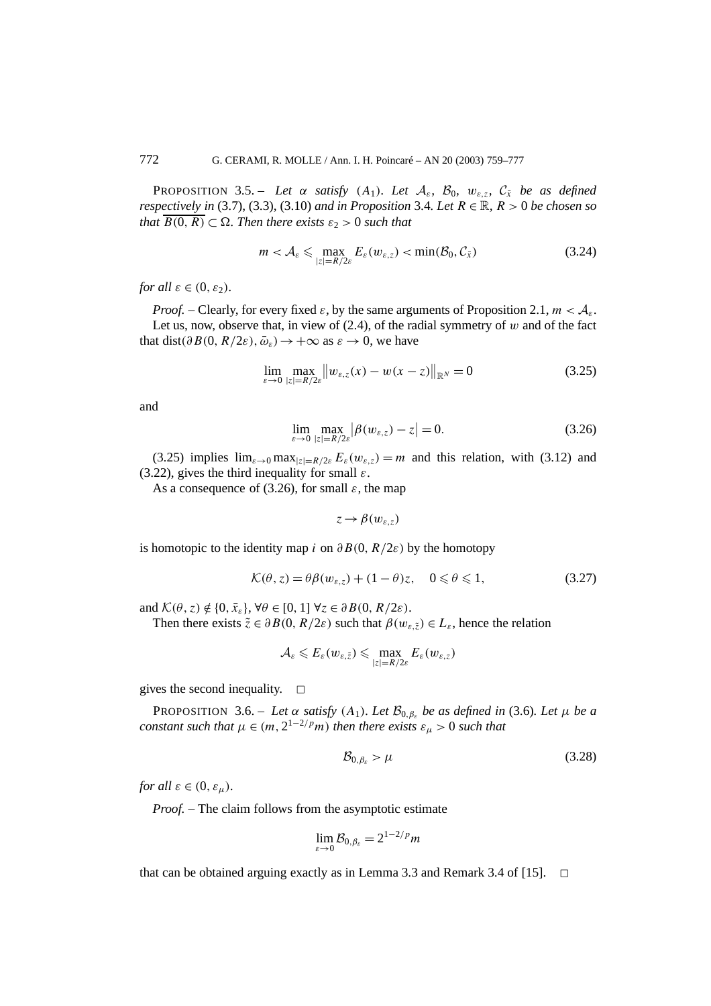PROPOSITION 3.5. – *Let*  $\alpha$  *satisfy*  $(A_1)$ *. Let*  $A_{\varepsilon}$ *,*  $B_0$ *,*  $w_{\varepsilon, z}$ *,*  $C_{\overline{x}}$  *be as defined respectively in* (3.7), (3.3), (3.10) *and in Proposition* 3.4*. Let*  $R \in \mathbb{R}$ *,*  $R > 0$  *be chosen so that*  $\overline{B(0,R)} \subset \Omega$ . Then there exists  $\varepsilon_2 > 0$  such that

$$
m < A_{\varepsilon} \leqslant \max_{|z|=R/2\varepsilon} E_{\varepsilon}(w_{\varepsilon,z}) < \min(\mathcal{B}_0, \mathcal{C}_{\bar{x}})
$$
\n(3.24)

*for all*  $\varepsilon \in (0, \varepsilon_2)$ *.* 

*Proof.* – Clearly, for every fixed  $\varepsilon$ , by the same arguments of Proposition 2.1,  $m < A_{\varepsilon}$ . Let us, now, observe that, in view of  $(2.4)$ , of the radial symmetry of  $w$  and of the fact that dist( $\partial B(0, R/2\varepsilon), \bar{\omega}_s$ )  $\rightarrow +\infty$  as  $\varepsilon \rightarrow 0$ , we have

$$
\lim_{\varepsilon \to 0} \max_{|z| = R/2\varepsilon} ||w_{\varepsilon,z}(x) - w(x - z)||_{\mathbb{R}^N} = 0
$$
\n(3.25)

and

$$
\lim_{\varepsilon \to 0} \max_{|z| = R/2\varepsilon} |\beta(w_{\varepsilon, z}) - z| = 0.
$$
\n(3.26)

(3.25) implies  $\lim_{\varepsilon \to 0} \max_{|z|=R/2\varepsilon} E_{\varepsilon}(w_{\varepsilon,z}) = m$  and this relation, with (3.12) and (3.22), gives the third inequality for small *ε*.

As a consequence of (3.26), for small  $\varepsilon$ , the map

 $z \rightarrow \beta(w_{s,z})$ 

is homotopic to the identity map *i* on  $\partial B(0, R/2\varepsilon)$  by the homotopy

$$
\mathcal{K}(\theta, z) = \theta \beta(w_{\varepsilon, z}) + (1 - \theta)z, \quad 0 \le \theta \le 1,
$$
\n(3.27)

and  $\mathcal{K}(\theta, z) \notin \{0, \bar{x}_{\varepsilon}\}, \forall \theta \in [0, 1] \forall z \in \partial B(0, R/2\varepsilon).$ 

Then there exists  $\tilde{z} \in \partial B(0, R/2\varepsilon)$  such that  $\beta(w_{\varepsilon, \tilde{z}}) \in L_{\varepsilon}$ , hence the relation

$$
\mathcal{A}_{\varepsilon} \leqslant E_{\varepsilon}(w_{\varepsilon,\tilde{z}}) \leqslant \max_{|z|=R/2\varepsilon} E_{\varepsilon}(w_{\varepsilon,z})
$$

gives the second inequality.  $\square$ 

PROPOSITION 3.6. – *Let*  $\alpha$  *satisfy*  $(A_1)$ *. Let*  $B_{0,\beta_c}$  *be as defined in* (3.6)*. Let*  $\mu$  *be a constant such that*  $\mu \in (m, 2^{1-2/p}m)$  *then there exists*  $\varepsilon_{\mu} > 0$  *such that* 

$$
\mathcal{B}_{0,\beta_{\varepsilon}} > \mu \tag{3.28}
$$

*for all*  $\varepsilon \in (0, \varepsilon_{\mu})$ *.* 

*Proof. –* The claim follows from the asymptotic estimate

$$
\lim_{\varepsilon \to 0} \mathcal{B}_{0,\beta\varepsilon} = 2^{1-2/p} m
$$

that can be obtained arguing exactly as in Lemma 3.3 and Remark 3.4 of [15].  $\Box$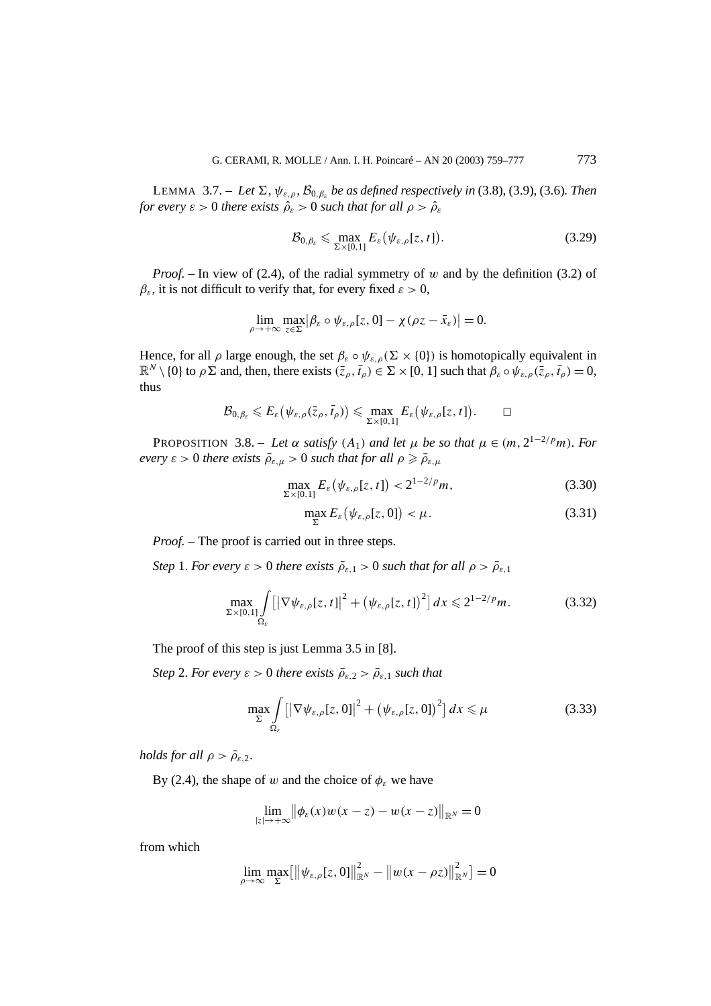LEMMA 3.7. – *Let*  $\Sigma$ *,*  $\psi_{\varepsilon,\rho}$ *,*  $\mathcal{B}_{0,\beta_{\varepsilon}}$  *be as defined respectively in* (3.8), (3.9), (3.6)*. Then for every*  $\varepsilon > 0$  *there exists*  $\hat{\rho}_{\varepsilon} > 0$  *such that for all*  $\rho > \hat{\rho}_{\varepsilon}$ 

$$
\mathcal{B}_{0,\beta_{\varepsilon}} \leqslant \max_{\Sigma \times [0,1]} E_{\varepsilon} \big( \psi_{\varepsilon,\rho}[z,t] \big). \tag{3.29}
$$

*Proof. –* In view of (2.4), of the radial symmetry of *w* and by the definition (3.2) of  $\beta_{\varepsilon}$ , it is not difficult to verify that, for every fixed  $\varepsilon > 0$ ,

$$
\lim_{\rho \to +\infty} \max_{z \in \Sigma} |\beta_{\varepsilon} \circ \psi_{\varepsilon,\rho}[z,0] - \chi(\rho z - \bar{x}_{\varepsilon})| = 0.
$$

Hence, for all  $\rho$  large enough, the set  $\beta_{\varepsilon} \circ \psi_{\varepsilon,\rho}(\Sigma \times \{0\})$  is homotopically equivalent in  $\mathbb{R}^N \setminus \{0\}$  to  $\rho \Sigma$  and, then, there exists  $(\bar{z}_\rho, \bar{t}_\rho) \in \Sigma \times [0, 1]$  such that  $\beta_\varepsilon \circ \psi_{\varepsilon,\rho}(\bar{z}_\rho, \bar{t}_\rho) = 0$ , thus

$$
\mathcal{B}_{0,\beta_{\varepsilon}}\leqslant E_{\varepsilon}\big(\psi_{\varepsilon,\rho}(\bar{z}_{\rho},\bar{t}_{\rho})\big)\leqslant \max_{\Sigma\times[0,1]}E_{\varepsilon}\big(\psi_{\varepsilon,\rho}[z,t]\big).\qquad \Box
$$

PROPOSITION 3.8. – *Let*  $\alpha$  *satisfy*  $(A_1)$  *and let*  $\mu$  *be so that*  $\mu \in (m, 2^{1-2/p}m)$ *. For every*  $\varepsilon > 0$  *there exists*  $\bar{\rho}_{\varepsilon,\mu} > 0$  *such that for all*  $\rho \ge \bar{\rho}_{\varepsilon,\mu}$ 

$$
\max_{\Sigma\times[0,1]} E_{\varepsilon}(\psi_{\varepsilon,\rho}[z,t]) < 2^{1-2/p}m,\tag{3.30}
$$

$$
\max_{\Sigma} E_{\varepsilon}(\psi_{\varepsilon,\rho}[z,0]) < \mu. \tag{3.31}
$$

*Proof.* – The proof is carried out in three steps.

*Step* 1. *For every*  $\varepsilon > 0$  *there exists*  $\bar{\rho}_{\varepsilon,1} > 0$  *such that for all*  $\rho > \bar{\rho}_{\varepsilon,1}$ 

$$
\max_{\Sigma \times [0,1]} \int_{\Omega_{\varepsilon}} \left[ \left| \nabla \psi_{\varepsilon,\rho}[z,t] \right|^2 + \left( \psi_{\varepsilon,\rho}[z,t] \right)^2 \right] dx \leqslant 2^{1-2/p} m. \tag{3.32}
$$

The proof of this step is just Lemma 3.5 in [8].

*Step* 2. *For every*  $\varepsilon > 0$  *there exists*  $\rho_{\varepsilon,2} > \rho_{\varepsilon,1}$  *such that* 

$$
\max_{\Sigma} \int_{\Omega_{\varepsilon}} \left[ \left| \nabla \psi_{\varepsilon,\rho}[z,0] \right|^2 + \left( \psi_{\varepsilon,\rho}[z,0] \right)^2 \right] dx \leq \mu \tag{3.33}
$$

*holds for all*  $\rho > \bar{\rho}_{\varepsilon,2}$ .

By (2.4), the shape of *w* and the choice of  $\phi_{\varepsilon}$  we have

$$
\lim_{|z|\to+\infty} \left\|\phi_{\varepsilon}(x)w(x-z)-w(x-z)\right\|_{\mathbb{R}^N}=0
$$

from which

$$
\lim_{\rho \to \infty} \max_{\Sigma} [\|\psi_{\varepsilon,\rho}[z,0]\|_{\mathbb{R}^N}^2 - \|w(x - \rho z)\|_{\mathbb{R}^N}^2] = 0
$$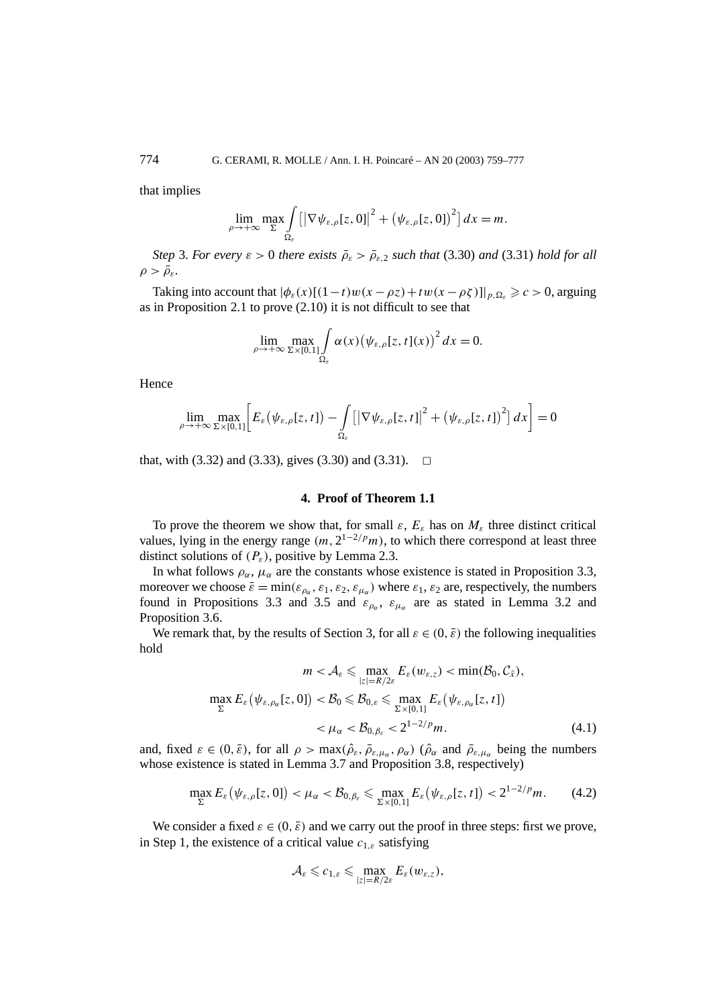that implies

$$
\lim_{\rho\to+\infty}\max_{\Sigma}\int_{\Omega_{\varepsilon}}\left[\left|\nabla\psi_{\varepsilon,\rho}[z,0]\right|^2+\left(\psi_{\varepsilon,\rho}[z,0]\right)^2\right]dx=m.
$$

*Step* 3. *For every*  $\varepsilon > 0$  *there exists*  $\rho_{\varepsilon} > \rho_{\varepsilon,2}$  *such that* (3.30) *and* (3.31) *hold for all*  $\rho > \bar{\rho}_{\varepsilon}$ *.* 

Taking into account that  $|\phi_{\varepsilon}(x)[(1-t)w(x-\rho z)+tw(x-\rho \zeta)]|_{p,\Omega_{\varepsilon}} \geq c > 0$ , arguing as in Proposition 2.1 to prove (2.10) it is not difficult to see that

$$
\lim_{\rho \to +\infty} \max_{\Sigma \times [0,1]} \int_{\Omega_{\varepsilon}} \alpha(x) \big(\psi_{\varepsilon,\rho}[z,t](x)\big)^2 dx = 0.
$$

Hence

$$
\lim_{\rho \to +\infty} \max_{\Sigma \times [0,1]} \bigg[ E_{\varepsilon} \big( \psi_{\varepsilon,\rho}[z,t] \big) - \int\limits_{\Omega_{\varepsilon}} \big[ \big| \nabla \psi_{\varepsilon,\rho}[z,t] \big|^2 + \big( \psi_{\varepsilon,\rho}[z,t] \big)^2 \big] \, dx \bigg] = 0
$$

that, with (3.32) and (3.33), gives (3.30) and (3.31).  $\Box$ 

# **4. Proof of Theorem 1.1**

To prove the theorem we show that, for small  $\varepsilon$ ,  $E_{\varepsilon}$  has on  $M_{\varepsilon}$  three distinct critical values, lying in the energy range  $(m, 2^{1-2/p}m)$ , to which there correspond at least three distinct solutions of *(Pε)*, positive by Lemma 2.3.

In what follows  $\rho_{\alpha}$ ,  $\mu_{\alpha}$  are the constants whose existence is stated in Proposition 3.3, moreover we choose  $\bar{\varepsilon} = \min(\varepsilon_{\rho_{\alpha}}, \varepsilon_1, \varepsilon_2, \varepsilon_{\mu_{\alpha}})$  where  $\varepsilon_1, \varepsilon_2$  are, respectively, the numbers found in Propositions 3.3 and 3.5 and  $\varepsilon_{\rho\alpha}$ ,  $\varepsilon_{\mu\alpha}$  are as stated in Lemma 3.2 and Proposition 3.6.

We remark that, by the results of Section 3, for all  $\varepsilon \in (0, \bar{\varepsilon})$  the following inequalities hold

$$
m < \mathcal{A}_{\varepsilon} \leq \max_{|z|=R/2\varepsilon} E_{\varepsilon}(w_{\varepsilon,z}) < \min(\mathcal{B}_0, \mathcal{C}_{\bar{x}}),
$$
  

$$
\max_{\Sigma} E_{\varepsilon}(\psi_{\varepsilon,\rho_{\alpha}}[z,0]) < \mathcal{B}_0 \leq \mathcal{B}_{0,\varepsilon} \leq \max_{\Sigma \times [0,1]} E_{\varepsilon}(\psi_{\varepsilon,\rho_{\alpha}}[z,t])
$$
  

$$
< \mu_{\alpha} < \mathcal{B}_{0,\beta\varepsilon} < 2^{1-2/p}m.
$$
 (4.1)

and, fixed  $\varepsilon \in (0, \bar{\varepsilon})$ , for all  $\rho > \max(\hat{\rho}_{\varepsilon}, \bar{\rho}_{\varepsilon, \mu_{\alpha}}, \rho_{\alpha})$  ( $\hat{\rho}_{\alpha}$  and  $\bar{\rho}_{\varepsilon, \mu_{\alpha}}$  being the numbers whose existence is stated in Lemma 3.7 and Proposition 3.8, respectively)

$$
\max_{\Sigma} E_{\varepsilon} \big( \psi_{\varepsilon,\rho}[z,0] \big) < \mu_{\alpha} < \mathcal{B}_{0,\beta_{\varepsilon}} \leqslant \max_{\Sigma \times [0,1]} E_{\varepsilon} \big( \psi_{\varepsilon,\rho}[z,t] \big) < 2^{1-2/p} m. \tag{4.2}
$$

We consider a fixed  $\varepsilon \in (0, \bar{\varepsilon})$  and we carry out the proof in three steps: first we prove, in Step 1, the existence of a critical value *c*<sup>1</sup>*,ε* satisfying

$$
\mathcal{A}_{\varepsilon} \leqslant c_{1,\varepsilon} \leqslant \max_{|z|=R/2\varepsilon} E_{\varepsilon}(w_{\varepsilon,z}),
$$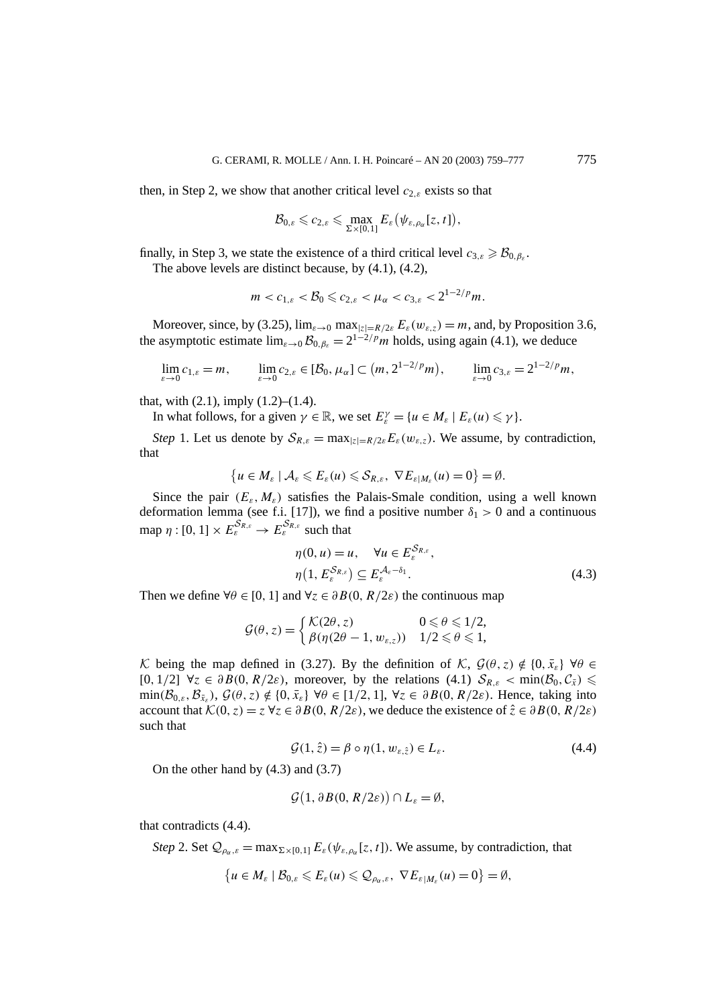then, in Step 2, we show that another critical level  $c_{2,\varepsilon}$  exists so that

$$
\mathcal{B}_{0,\varepsilon} \leqslant c_{2,\varepsilon} \leqslant \max_{\Sigma \times [0,1]} E_{\varepsilon}(\psi_{\varepsilon,\rho_{\alpha}}[z,t]),
$$

finally, in Step 3, we state the existence of a third critical level  $c_{3,\varepsilon} \geq \mathcal{B}_{0,\varepsilon}$ .

The above levels are distinct because, by (4.1), (4.2),

$$
m < c_{1,\varepsilon} < \mathcal{B}_0 \leq c_{2,\varepsilon} < \mu_\alpha < c_{3,\varepsilon} < 2^{1-2/p} m.
$$

Moreover, since, by (3.25),  $\lim_{\varepsilon \to 0} \max_{|z|=R/2\varepsilon} E_{\varepsilon}(w_{\varepsilon,z}) = m$ , and, by Proposition 3.6, the asymptotic estimate  $\lim_{\varepsilon\to 0} \mathcal{B}_{0,\beta_{\varepsilon}} = 2^{1-2/p} m$  holds, using again (4.1), we deduce

$$
\lim_{\varepsilon \to 0} c_{1,\varepsilon} = m, \qquad \lim_{\varepsilon \to 0} c_{2,\varepsilon} \in [\mathcal{B}_0, \mu_\alpha] \subset (m, 2^{1-2/p} m), \qquad \lim_{\varepsilon \to 0} c_{3,\varepsilon} = 2^{1-2/p} m,
$$

that, with  $(2.1)$ , imply  $(1.2)$ – $(1.4)$ .

In what follows, for a given  $\gamma \in \mathbb{R}$ , we set  $E_{\varepsilon}^{\gamma} = \{u \in M_{\varepsilon} \mid E_{\varepsilon}(u) \leq \gamma\}.$ 

*Step* 1. Let us denote by  $S_{R,\varepsilon} = \max_{|z|=R/2\varepsilon} E_{\varepsilon}(w_{\varepsilon,z})$ . We assume, by contradiction, that

$$
\{u\in M_{\varepsilon}\mid \mathcal{A}_{\varepsilon}\leqslant E_{\varepsilon}(u)\leqslant \mathcal{S}_{R,\varepsilon},\ \nabla E_{\varepsilon|M_{\varepsilon}}(u)=0\}=\emptyset.
$$

Since the pair  $(E_{\varepsilon}, M_{\varepsilon})$  satisfies the Palais-Smale condition, using a well known deformation lemma (see f.i. [17]), we find a positive number  $\delta_1 > 0$  and a continuous  $\text{map } \eta : [0, 1] \times E_{\varepsilon}^{\mathcal{S}_{R,\varepsilon}} \to E_{\varepsilon}^{\mathcal{S}_{R,\varepsilon}} \text{ such that}$ 

$$
\eta(0, u) = u, \quad \forall u \in E_{\varepsilon}^{S_{R,\varepsilon}},
$$

$$
\eta(1, E_{\varepsilon}^{S_{R,\varepsilon}}) \subseteq E_{\varepsilon}^{\mathcal{A}_{\varepsilon} - \delta_1}.
$$
(4.3)

Then we define  $\forall \theta \in [0, 1]$  and  $\forall z \in \partial B(0, R/2\varepsilon)$  the continuous map

$$
\mathcal{G}(\theta, z) = \begin{cases} \mathcal{K}(2\theta, z) & 0 \leq \theta \leq 1/2, \\ \beta(\eta(2\theta - 1, w_{\varepsilon, z})) & 1/2 \leq \theta \leq 1, \end{cases}
$$

K being the map defined in (3.27). By the definition of K,  $\mathcal{G}(\theta, z) \notin \{0, \bar{x}_{\varepsilon}\}$   $\forall \theta \in$  $[0, 1/2]$   $\forall z \in \partial B(0, R/2\varepsilon)$ , moreover, by the relations  $(4.1)$   $S_{R,\varepsilon} < \min(\mathcal{B}_0, \mathcal{C}_{\bar{x}}) \leq$  $\min(\mathcal{B}_{0,\varepsilon},\mathcal{B}_{\bar{x}_{\varepsilon}}), \mathcal{G}(\theta,z) \notin \{0,\bar{x}_{\varepsilon}\}$   $\forall \theta \in [1/2,1], \forall z \in \partial B(0,R/2\varepsilon)$ . Hence, taking into account that  $K(0, z) = z \,\forall z \in \partial B(0, R/2\varepsilon)$ , we deduce the existence of  $\hat{z} \in \partial B(0, R/2\varepsilon)$ such that

$$
\mathcal{G}(1,\hat{z}) = \beta \circ \eta(1, w_{\varepsilon,\hat{z}}) \in L_{\varepsilon}.\tag{4.4}
$$

On the other hand by (4.3) and (3.7)

$$
\mathcal{G}(1,\partial B(0,R/2\varepsilon))\cap L_{\varepsilon}=\emptyset,
$$

that contradicts (4.4).

*Step* 2. Set  $\mathcal{Q}_{\rho_{\alpha},\varepsilon} = \max_{\Sigma\times[0,1]} E_{\varepsilon}(\psi_{\varepsilon,\rho_{\alpha}}[z,t])$ . We assume, by contradiction, that

$$
\{u\in M_{\varepsilon}\mid \mathcal{B}_{0,\varepsilon}\leqslant E_{\varepsilon}(u)\leqslant \mathcal{Q}_{\rho_{\alpha},\varepsilon},\ \nabla E_{\varepsilon|M_{\varepsilon}}(u)=0\}=\emptyset,
$$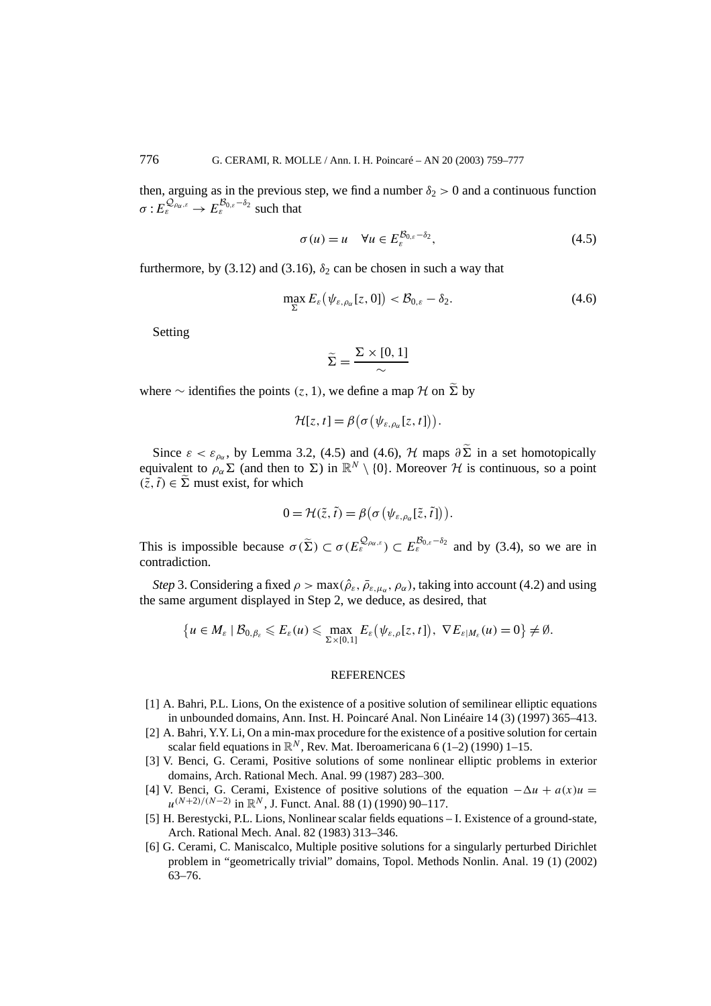then, arguing as in the previous step, we find a number  $\delta_2 > 0$  and a continuous function  $\sigma: E^{\mathcal{Q}_{\rho_\alpha,\varepsilon}}_{\varepsilon} \to E^{\mathcal{B}_{0,\varepsilon}-\delta_2}_{\varepsilon}$  such that

$$
\sigma(u) = u \quad \forall u \in E_{\varepsilon}^{\mathcal{B}_{0,\varepsilon} - \delta_2}, \tag{4.5}
$$

furthermore, by (3.12) and (3.16),  $\delta_2$  can be chosen in such a way that

$$
\max_{\Sigma} E_{\varepsilon} \left( \psi_{\varepsilon, \rho_{\alpha}} [z, 0] \right) < \mathcal{B}_{0, \varepsilon} - \delta_2. \tag{4.6}
$$

Setting

$$
\widetilde{\Sigma} = \frac{\Sigma \times [0,1]}{\sim}
$$

where ∼ identifies the points  $(z, 1)$ , we define a map  $H$  on  $\tilde{\Sigma}$  by

$$
\mathcal{H}[z,t] = \beta(\sigma(\psi_{\varepsilon,\rho_\alpha}[z,t])).
$$

Since  $\varepsilon < \varepsilon_{\rho_{\alpha}}$ , by Lemma 3.2, (4.5) and (4.6), H maps  $\partial \Sigma$  in a set homotopically equivalent to  $\rho_{\alpha} \Sigma$  (and then to  $\Sigma$ ) in  $\mathbb{R}^N \setminus \{0\}$ . Moreover  $\mathcal H$  is continuous, so a point  $(\tilde{z}, \tilde{t}) \in \Sigma$  must exist, for which

$$
0 = \mathcal{H}(\tilde{z}, \tilde{t}) = \beta \big( \sigma \big( \psi_{\varepsilon, \rho_{\alpha}}[\tilde{z}, \tilde{t}] \big) \big).
$$

This is impossible because  $\sigma(\tilde{\Sigma}) \subset \sigma(E_{\varepsilon}^{\mathcal{Q}_{\rho_{\alpha,\varepsilon}}}) \subset E_{\varepsilon}^{\mathcal{B}_{0,\varepsilon}-\delta_2}$  and by (3.4), so we are in contradiction.

*Step* 3. Considering a fixed  $\rho > \max(\hat{\rho}_{\varepsilon}, \bar{\rho}_{\varepsilon, \mu_{\alpha}}, \rho_{\alpha})$ , taking into account (4.2) and using the same argument displayed in Step 2, we deduce, as desired, that

$$
\{u\in M_{\varepsilon}\mid \mathcal{B}_{0,\beta_{\varepsilon}}\leqslant E_{\varepsilon}(u)\leqslant \max_{\Sigma\times[0,1]}E_{\varepsilon}\big(\psi_{\varepsilon,\rho}[z,t]\big),\ \nabla E_{\varepsilon|M_{\varepsilon}}(u)=0\}\neq\emptyset.
$$

#### REFERENCES

- [1] A. Bahri, P.L. Lions, On the existence of a positive solution of semilinear elliptic equations in unbounded domains, Ann. Inst. H. Poincaré Anal. Non Linéaire 14 (3) (1997) 365–413.
- [2] A. Bahri, Y.Y. Li, On a min-max procedure for the existence of a positive solution for certain scalar field equations in  $\mathbb{R}^N$ , Rev. Mat. Iberoamericana 6 (1–2) (1990) 1–15.
- [3] V. Benci, G. Cerami, Positive solutions of some nonlinear elliptic problems in exterior domains, Arch. Rational Mech. Anal. 99 (1987) 283–300.
- [4] V. Benci, G. Cerami, Existence of positive solutions of the equation  $-\Delta u + a(x)u =$ *u*<sup>(*N*+2)/(*N*−2) in ℝ<sup>*N*</sup>, J. Funct. Anal. 88 (1) (1990) 90–117.</sup>
- [5] H. Berestycki, P.L. Lions, Nonlinear scalar fields equations I. Existence of a ground-state, Arch. Rational Mech. Anal. 82 (1983) 313–346.
- [6] G. Cerami, C. Maniscalco, Multiple positive solutions for a singularly perturbed Dirichlet problem in "geometrically trivial" domains, Topol. Methods Nonlin. Anal. 19 (1) (2002) 63–76.